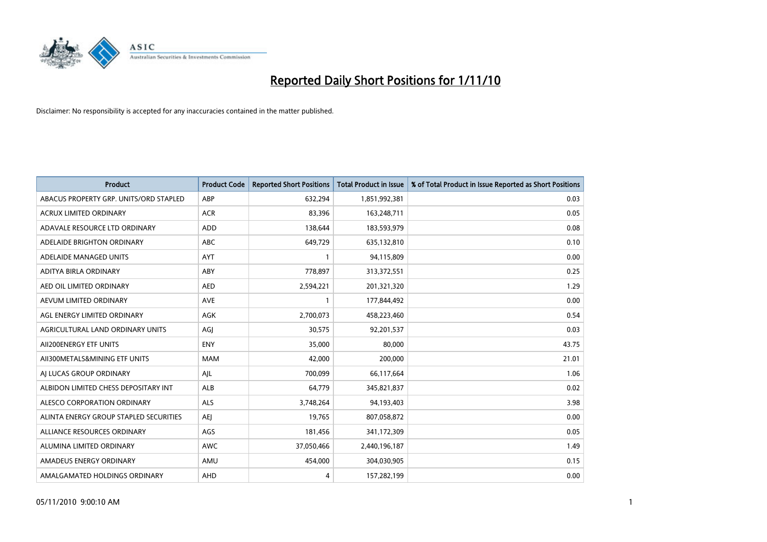

| <b>Product</b>                         | <b>Product Code</b> | <b>Reported Short Positions</b> | <b>Total Product in Issue</b> | % of Total Product in Issue Reported as Short Positions |
|----------------------------------------|---------------------|---------------------------------|-------------------------------|---------------------------------------------------------|
| ABACUS PROPERTY GRP. UNITS/ORD STAPLED | ABP                 | 632,294                         | 1,851,992,381                 | 0.03                                                    |
| ACRUX LIMITED ORDINARY                 | <b>ACR</b>          | 83,396                          | 163,248,711                   | 0.05                                                    |
| ADAVALE RESOURCE LTD ORDINARY          | <b>ADD</b>          | 138,644                         | 183,593,979                   | 0.08                                                    |
| ADELAIDE BRIGHTON ORDINARY             | <b>ABC</b>          | 649,729                         | 635,132,810                   | 0.10                                                    |
| ADELAIDE MANAGED UNITS                 | AYT                 |                                 | 94,115,809                    | 0.00                                                    |
| ADITYA BIRLA ORDINARY                  | ABY                 | 778,897                         | 313,372,551                   | 0.25                                                    |
| AED OIL LIMITED ORDINARY               | <b>AED</b>          | 2,594,221                       | 201,321,320                   | 1.29                                                    |
| AEVUM LIMITED ORDINARY                 | <b>AVE</b>          |                                 | 177,844,492                   | 0.00                                                    |
| AGL ENERGY LIMITED ORDINARY            | <b>AGK</b>          | 2,700,073                       | 458,223,460                   | 0.54                                                    |
| AGRICULTURAL LAND ORDINARY UNITS       | AGI                 | 30,575                          | 92,201,537                    | 0.03                                                    |
| AII200ENERGY ETF UNITS                 | <b>ENY</b>          | 35,000                          | 80,000                        | 43.75                                                   |
| AII300METALS&MINING ETF UNITS          | <b>MAM</b>          | 42,000                          | 200,000                       | 21.01                                                   |
| AI LUCAS GROUP ORDINARY                | AJL                 | 700,099                         | 66,117,664                    | 1.06                                                    |
| ALBIDON LIMITED CHESS DEPOSITARY INT   | ALB                 | 64,779                          | 345,821,837                   | 0.02                                                    |
| ALESCO CORPORATION ORDINARY            | <b>ALS</b>          | 3,748,264                       | 94,193,403                    | 3.98                                                    |
| ALINTA ENERGY GROUP STAPLED SECURITIES | <b>AEI</b>          | 19,765                          | 807,058,872                   | 0.00                                                    |
| ALLIANCE RESOURCES ORDINARY            | AGS                 | 181,456                         | 341,172,309                   | 0.05                                                    |
| ALUMINA LIMITED ORDINARY               | <b>AWC</b>          | 37,050,466                      | 2,440,196,187                 | 1.49                                                    |
| AMADEUS ENERGY ORDINARY                | AMU                 | 454,000                         | 304,030,905                   | 0.15                                                    |
| AMALGAMATED HOLDINGS ORDINARY          | AHD                 | 4                               | 157,282,199                   | 0.00                                                    |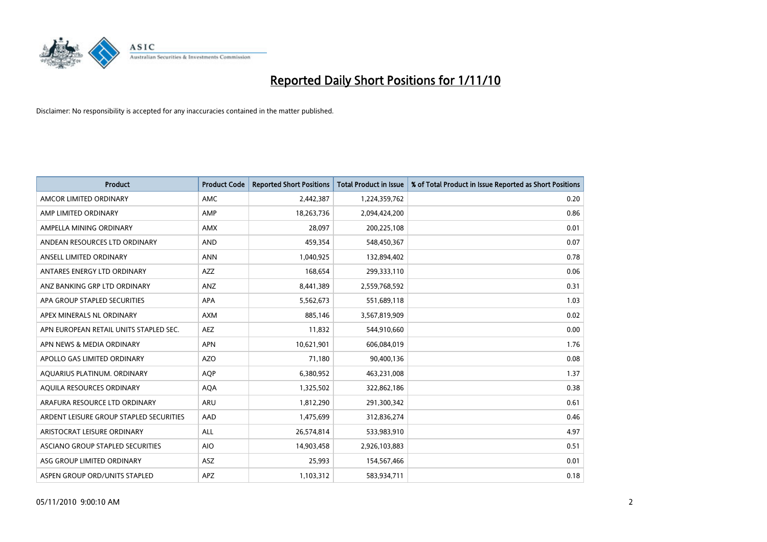

| <b>Product</b>                          | <b>Product Code</b> | <b>Reported Short Positions</b> | Total Product in Issue | % of Total Product in Issue Reported as Short Positions |
|-----------------------------------------|---------------------|---------------------------------|------------------------|---------------------------------------------------------|
| AMCOR LIMITED ORDINARY                  | <b>AMC</b>          | 2,442,387                       | 1,224,359,762          | 0.20                                                    |
| AMP LIMITED ORDINARY                    | AMP                 | 18,263,736                      | 2,094,424,200          | 0.86                                                    |
| AMPELLA MINING ORDINARY                 | <b>AMX</b>          | 28,097                          | 200,225,108            | 0.01                                                    |
| ANDEAN RESOURCES LTD ORDINARY           | <b>AND</b>          | 459,354                         | 548,450,367            | 0.07                                                    |
| ANSELL LIMITED ORDINARY                 | <b>ANN</b>          | 1,040,925                       | 132,894,402            | 0.78                                                    |
| ANTARES ENERGY LTD ORDINARY             | <b>AZZ</b>          | 168,654                         | 299,333,110            | 0.06                                                    |
| ANZ BANKING GRP LTD ORDINARY            | ANZ                 | 8,441,389                       | 2,559,768,592          | 0.31                                                    |
| APA GROUP STAPLED SECURITIES            | <b>APA</b>          | 5,562,673                       | 551,689,118            | 1.03                                                    |
| APEX MINERALS NL ORDINARY               | <b>AXM</b>          | 885,146                         | 3,567,819,909          | 0.02                                                    |
| APN EUROPEAN RETAIL UNITS STAPLED SEC.  | <b>AEZ</b>          | 11,832                          | 544,910,660            | 0.00                                                    |
| APN NEWS & MEDIA ORDINARY               | <b>APN</b>          | 10,621,901                      | 606,084,019            | 1.76                                                    |
| APOLLO GAS LIMITED ORDINARY             | <b>AZO</b>          | 71,180                          | 90,400,136             | 0.08                                                    |
| AQUARIUS PLATINUM. ORDINARY             | <b>AOP</b>          | 6,380,952                       | 463,231,008            | 1.37                                                    |
| AOUILA RESOURCES ORDINARY               | <b>AQA</b>          | 1,325,502                       | 322,862,186            | 0.38                                                    |
| ARAFURA RESOURCE LTD ORDINARY           | ARU                 | 1,812,290                       | 291,300,342            | 0.61                                                    |
| ARDENT LEISURE GROUP STAPLED SECURITIES | AAD                 | 1,475,699                       | 312,836,274            | 0.46                                                    |
| ARISTOCRAT LEISURE ORDINARY             | <b>ALL</b>          | 26,574,814                      | 533,983,910            | 4.97                                                    |
| ASCIANO GROUP STAPLED SECURITIES        | <b>AIO</b>          | 14,903,458                      | 2,926,103,883          | 0.51                                                    |
| ASG GROUP LIMITED ORDINARY              | <b>ASZ</b>          | 25,993                          | 154,567,466            | 0.01                                                    |
| ASPEN GROUP ORD/UNITS STAPLED           | <b>APZ</b>          | 1,103,312                       | 583,934,711            | 0.18                                                    |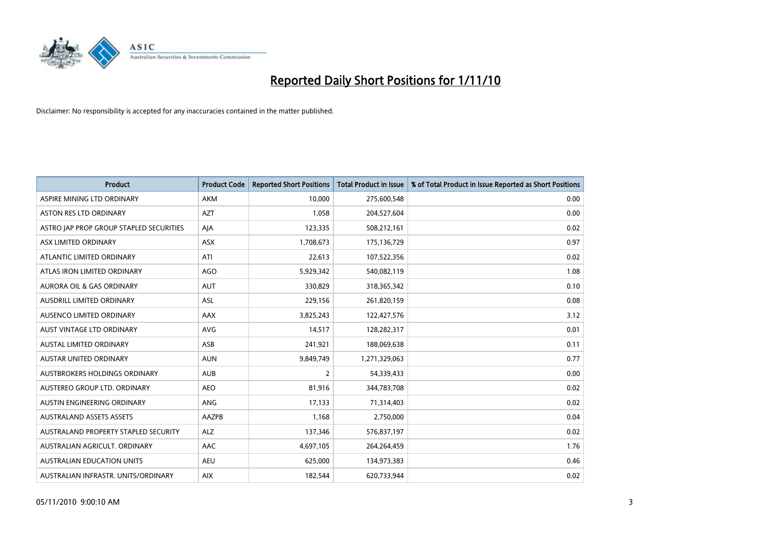

| <b>Product</b>                          | <b>Product Code</b> | <b>Reported Short Positions</b> | Total Product in Issue | % of Total Product in Issue Reported as Short Positions |
|-----------------------------------------|---------------------|---------------------------------|------------------------|---------------------------------------------------------|
| ASPIRE MINING LTD ORDINARY              | <b>AKM</b>          | 10,000                          | 275,600,548            | 0.00                                                    |
| ASTON RES LTD ORDINARY                  | <b>AZT</b>          | 1,058                           | 204,527,604            | 0.00                                                    |
| ASTRO JAP PROP GROUP STAPLED SECURITIES | AJA                 | 123,335                         | 508,212,161            | 0.02                                                    |
| ASX LIMITED ORDINARY                    | ASX                 | 1,708,673                       | 175,136,729            | 0.97                                                    |
| ATLANTIC LIMITED ORDINARY               | ATI                 | 22,613                          | 107,522,356            | 0.02                                                    |
| ATLAS IRON LIMITED ORDINARY             | <b>AGO</b>          | 5,929,342                       | 540,082,119            | 1.08                                                    |
| <b>AURORA OIL &amp; GAS ORDINARY</b>    | <b>AUT</b>          | 330.829                         | 318,365,342            | 0.10                                                    |
| <b>AUSDRILL LIMITED ORDINARY</b>        | <b>ASL</b>          | 229,156                         | 261,820,159            | 0.08                                                    |
| AUSENCO LIMITED ORDINARY                | AAX                 | 3,825,243                       | 122,427,576            | 3.12                                                    |
| <b>AUST VINTAGE LTD ORDINARY</b>        | <b>AVG</b>          | 14,517                          | 128,282,317            | 0.01                                                    |
| AUSTAL LIMITED ORDINARY                 | ASB                 | 241,921                         | 188,069,638            | 0.11                                                    |
| <b>AUSTAR UNITED ORDINARY</b>           | <b>AUN</b>          | 9,849,749                       | 1,271,329,063          | 0.77                                                    |
| AUSTBROKERS HOLDINGS ORDINARY           | <b>AUB</b>          | $\overline{2}$                  | 54,339,433             | 0.00                                                    |
| AUSTEREO GROUP LTD. ORDINARY            | <b>AEO</b>          | 81,916                          | 344,783,708            | 0.02                                                    |
| AUSTIN ENGINEERING ORDINARY             | ANG                 | 17,133                          | 71,314,403             | 0.02                                                    |
| <b>AUSTRALAND ASSETS ASSETS</b>         | AAZPB               | 1,168                           | 2,750,000              | 0.04                                                    |
| AUSTRALAND PROPERTY STAPLED SECURITY    | <b>ALZ</b>          | 137,346                         | 576,837,197            | 0.02                                                    |
| AUSTRALIAN AGRICULT. ORDINARY           | <b>AAC</b>          | 4,697,105                       | 264,264,459            | 1.76                                                    |
| <b>AUSTRALIAN EDUCATION UNITS</b>       | <b>AEU</b>          | 625,000                         | 134,973,383            | 0.46                                                    |
| AUSTRALIAN INFRASTR, UNITS/ORDINARY     | <b>AIX</b>          | 182,544                         | 620,733,944            | 0.02                                                    |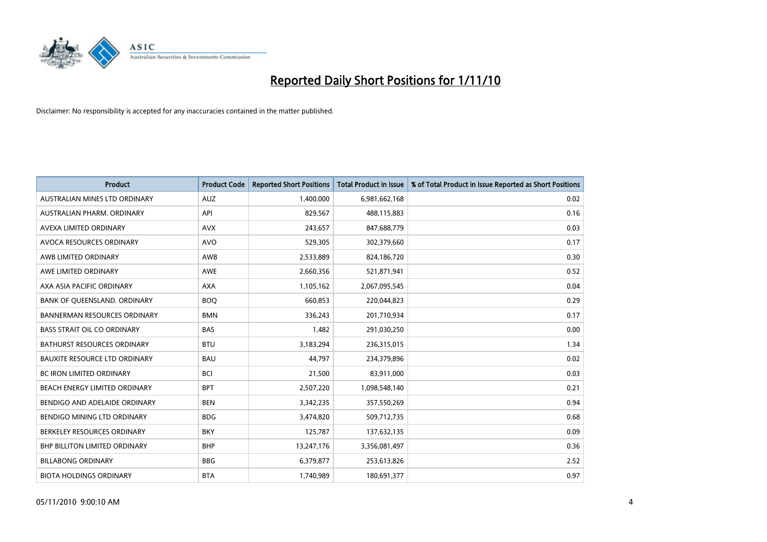

| <b>Product</b>                       | <b>Product Code</b> | <b>Reported Short Positions</b> | Total Product in Issue | % of Total Product in Issue Reported as Short Positions |
|--------------------------------------|---------------------|---------------------------------|------------------------|---------------------------------------------------------|
| AUSTRALIAN MINES LTD ORDINARY        | <b>AUZ</b>          | 1,400,000                       | 6,981,662,168          | 0.02                                                    |
| AUSTRALIAN PHARM, ORDINARY           | API                 | 829,567                         | 488,115,883            | 0.16                                                    |
| AVEXA LIMITED ORDINARY               | <b>AVX</b>          | 243,657                         | 847,688,779            | 0.03                                                    |
| AVOCA RESOURCES ORDINARY             | <b>AVO</b>          | 529,305                         | 302,379,660            | 0.17                                                    |
| AWB LIMITED ORDINARY                 | <b>AWB</b>          | 2,533,889                       | 824,186,720            | 0.30                                                    |
| AWE LIMITED ORDINARY                 | <b>AWE</b>          | 2,660,356                       | 521,871,941            | 0.52                                                    |
| AXA ASIA PACIFIC ORDINARY            | <b>AXA</b>          | 1,105,162                       | 2,067,095,545          | 0.04                                                    |
| BANK OF QUEENSLAND. ORDINARY         | <b>BOO</b>          | 660,853                         | 220,044,823            | 0.29                                                    |
| <b>BANNERMAN RESOURCES ORDINARY</b>  | <b>BMN</b>          | 336,243                         | 201,710,934            | 0.17                                                    |
| <b>BASS STRAIT OIL CO ORDINARY</b>   | <b>BAS</b>          | 1,482                           | 291,030,250            | 0.00                                                    |
| <b>BATHURST RESOURCES ORDINARY</b>   | <b>BTU</b>          | 3,183,294                       | 236,315,015            | 1.34                                                    |
| <b>BAUXITE RESOURCE LTD ORDINARY</b> | <b>BAU</b>          | 44,797                          | 234,379,896            | 0.02                                                    |
| <b>BC IRON LIMITED ORDINARY</b>      | <b>BCI</b>          | 21.500                          | 83,911,000             | 0.03                                                    |
| BEACH ENERGY LIMITED ORDINARY        | <b>BPT</b>          | 2,507,220                       | 1,098,548,140          | 0.21                                                    |
| BENDIGO AND ADELAIDE ORDINARY        | <b>BEN</b>          | 3,342,235                       | 357,550,269            | 0.94                                                    |
| BENDIGO MINING LTD ORDINARY          | <b>BDG</b>          | 3,474,820                       | 509,712,735            | 0.68                                                    |
| BERKELEY RESOURCES ORDINARY          | <b>BKY</b>          | 125,787                         | 137,632,135            | 0.09                                                    |
| BHP BILLITON LIMITED ORDINARY        | <b>BHP</b>          | 13,247,176                      | 3,356,081,497          | 0.36                                                    |
| <b>BILLABONG ORDINARY</b>            | <b>BBG</b>          | 6,379,877                       | 253,613,826            | 2.52                                                    |
| <b>BIOTA HOLDINGS ORDINARY</b>       | <b>BTA</b>          | 1,740,989                       | 180,691,377            | 0.97                                                    |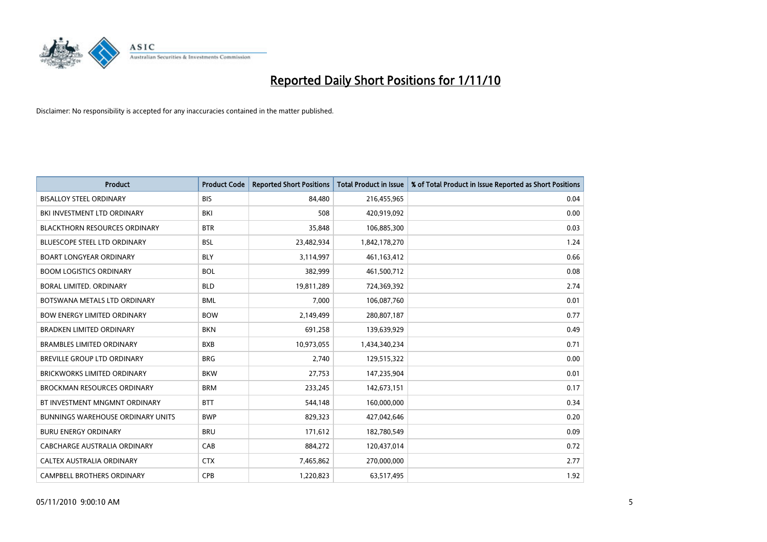

| <b>Product</b>                       | <b>Product Code</b> | <b>Reported Short Positions</b> | Total Product in Issue | % of Total Product in Issue Reported as Short Positions |
|--------------------------------------|---------------------|---------------------------------|------------------------|---------------------------------------------------------|
| <b>BISALLOY STEEL ORDINARY</b>       | <b>BIS</b>          | 84,480                          | 216,455,965            | 0.04                                                    |
| BKI INVESTMENT LTD ORDINARY          | BKI                 | 508                             | 420,919,092            | 0.00                                                    |
| <b>BLACKTHORN RESOURCES ORDINARY</b> | <b>BTR</b>          | 35,848                          | 106,885,300            | 0.03                                                    |
| <b>BLUESCOPE STEEL LTD ORDINARY</b>  | <b>BSL</b>          | 23,482,934                      | 1,842,178,270          | 1.24                                                    |
| <b>BOART LONGYEAR ORDINARY</b>       | <b>BLY</b>          | 3,114,997                       | 461,163,412            | 0.66                                                    |
| <b>BOOM LOGISTICS ORDINARY</b>       | <b>BOL</b>          | 382,999                         | 461,500,712            | 0.08                                                    |
| BORAL LIMITED, ORDINARY              | <b>BLD</b>          | 19,811,289                      | 724,369,392            | 2.74                                                    |
| BOTSWANA METALS LTD ORDINARY         | <b>BML</b>          | 7,000                           | 106,087,760            | 0.01                                                    |
| <b>BOW ENERGY LIMITED ORDINARY</b>   | <b>BOW</b>          | 2,149,499                       | 280,807,187            | 0.77                                                    |
| <b>BRADKEN LIMITED ORDINARY</b>      | <b>BKN</b>          | 691,258                         | 139,639,929            | 0.49                                                    |
| <b>BRAMBLES LIMITED ORDINARY</b>     | <b>BXB</b>          | 10,973,055                      | 1,434,340,234          | 0.71                                                    |
| <b>BREVILLE GROUP LTD ORDINARY</b>   | <b>BRG</b>          | 2,740                           | 129,515,322            | 0.00                                                    |
| <b>BRICKWORKS LIMITED ORDINARY</b>   | <b>BKW</b>          | 27,753                          | 147,235,904            | 0.01                                                    |
| <b>BROCKMAN RESOURCES ORDINARY</b>   | <b>BRM</b>          | 233,245                         | 142,673,151            | 0.17                                                    |
| BT INVESTMENT MNGMNT ORDINARY        | <b>BTT</b>          | 544,148                         | 160,000,000            | 0.34                                                    |
| BUNNINGS WAREHOUSE ORDINARY UNITS    | <b>BWP</b>          | 829,323                         | 427,042,646            | 0.20                                                    |
| <b>BURU ENERGY ORDINARY</b>          | <b>BRU</b>          | 171,612                         | 182,780,549            | 0.09                                                    |
| CABCHARGE AUSTRALIA ORDINARY         | CAB                 | 884,272                         | 120,437,014            | 0.72                                                    |
| CALTEX AUSTRALIA ORDINARY            | <b>CTX</b>          | 7,465,862                       | 270,000,000            | 2.77                                                    |
| <b>CAMPBELL BROTHERS ORDINARY</b>    | CPB                 | 1,220,823                       | 63,517,495             | 1.92                                                    |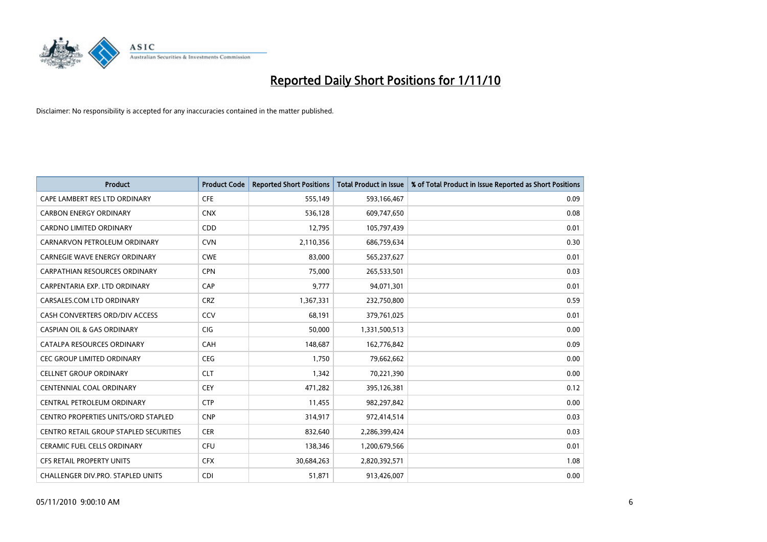

| <b>Product</b>                           | <b>Product Code</b> | <b>Reported Short Positions</b> | Total Product in Issue | % of Total Product in Issue Reported as Short Positions |
|------------------------------------------|---------------------|---------------------------------|------------------------|---------------------------------------------------------|
| CAPE LAMBERT RES LTD ORDINARY            | <b>CFE</b>          | 555,149                         | 593,166,467            | 0.09                                                    |
| <b>CARBON ENERGY ORDINARY</b>            | <b>CNX</b>          | 536,128                         | 609,747,650            | 0.08                                                    |
| <b>CARDNO LIMITED ORDINARY</b>           | CDD                 | 12,795                          | 105,797,439            | 0.01                                                    |
| CARNARVON PETROLEUM ORDINARY             | <b>CVN</b>          | 2,110,356                       | 686,759,634            | 0.30                                                    |
| <b>CARNEGIE WAVE ENERGY ORDINARY</b>     | <b>CWE</b>          | 83.000                          | 565,237,627            | 0.01                                                    |
| CARPATHIAN RESOURCES ORDINARY            | <b>CPN</b>          | 75,000                          | 265,533,501            | 0.03                                                    |
| CARPENTARIA EXP. LTD ORDINARY            | CAP                 | 9.777                           | 94,071,301             | 0.01                                                    |
| CARSALES.COM LTD ORDINARY                | <b>CRZ</b>          | 1,367,331                       | 232,750,800            | 0.59                                                    |
| CASH CONVERTERS ORD/DIV ACCESS           | CCV                 | 68,191                          | 379,761,025            | 0.01                                                    |
| <b>CASPIAN OIL &amp; GAS ORDINARY</b>    | <b>CIG</b>          | 50.000                          | 1,331,500,513          | 0.00                                                    |
| CATALPA RESOURCES ORDINARY               | <b>CAH</b>          | 148,687                         | 162,776,842            | 0.09                                                    |
| CEC GROUP LIMITED ORDINARY               | <b>CEG</b>          | 1,750                           | 79,662,662             | 0.00                                                    |
| <b>CELLNET GROUP ORDINARY</b>            | <b>CLT</b>          | 1.342                           | 70,221,390             | 0.00                                                    |
| <b>CENTENNIAL COAL ORDINARY</b>          | CEY                 | 471.282                         | 395,126,381            | 0.12                                                    |
| CENTRAL PETROLEUM ORDINARY               | <b>CTP</b>          | 11,455                          | 982,297,842            | 0.00                                                    |
| CENTRO PROPERTIES UNITS/ORD STAPLED      | <b>CNP</b>          | 314,917                         | 972,414,514            | 0.03                                                    |
| CENTRO RETAIL GROUP STAPLED SECURITIES   | <b>CER</b>          | 832,640                         | 2,286,399,424          | 0.03                                                    |
| CERAMIC FUEL CELLS ORDINARY              | <b>CFU</b>          | 138,346                         | 1,200,679,566          | 0.01                                                    |
| <b>CFS RETAIL PROPERTY UNITS</b>         | <b>CFX</b>          | 30,684,263                      | 2,820,392,571          | 1.08                                                    |
| <b>CHALLENGER DIV.PRO. STAPLED UNITS</b> | <b>CDI</b>          | 51,871                          | 913,426,007            | 0.00                                                    |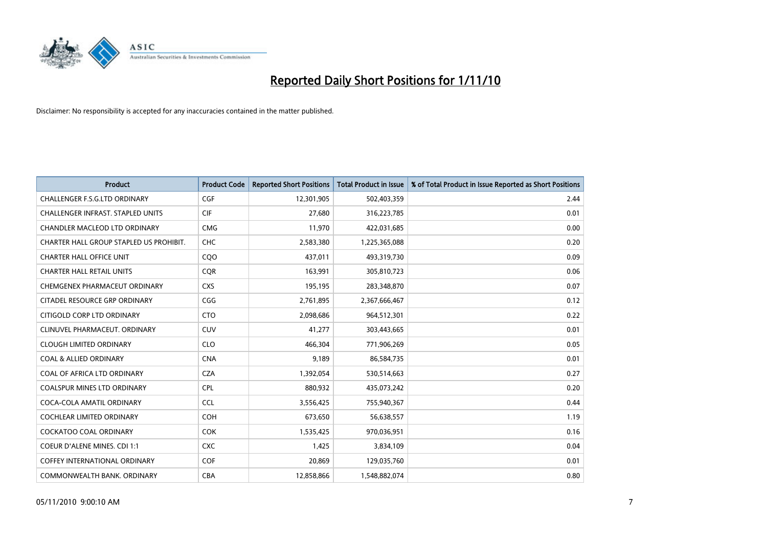

| <b>Product</b>                          | <b>Product Code</b> | <b>Reported Short Positions</b> | <b>Total Product in Issue</b> | % of Total Product in Issue Reported as Short Positions |
|-----------------------------------------|---------------------|---------------------------------|-------------------------------|---------------------------------------------------------|
| <b>CHALLENGER F.S.G.LTD ORDINARY</b>    | <b>CGF</b>          | 12,301,905                      | 502,403,359                   | 2.44                                                    |
| CHALLENGER INFRAST. STAPLED UNITS       | <b>CIF</b>          | 27,680                          | 316,223,785                   | 0.01                                                    |
| CHANDLER MACLEOD LTD ORDINARY           | <b>CMG</b>          | 11,970                          | 422,031,685                   | 0.00                                                    |
| CHARTER HALL GROUP STAPLED US PROHIBIT. | <b>CHC</b>          | 2,583,380                       | 1,225,365,088                 | 0.20                                                    |
| <b>CHARTER HALL OFFICE UNIT</b>         | COO                 | 437,011                         | 493,319,730                   | 0.09                                                    |
| <b>CHARTER HALL RETAIL UNITS</b>        | <b>COR</b>          | 163,991                         | 305,810,723                   | 0.06                                                    |
| CHEMGENEX PHARMACEUT ORDINARY           | <b>CXS</b>          | 195,195                         | 283,348,870                   | 0.07                                                    |
| CITADEL RESOURCE GRP ORDINARY           | CGG                 | 2,761,895                       | 2,367,666,467                 | 0.12                                                    |
| CITIGOLD CORP LTD ORDINARY              | <b>CTO</b>          | 2,098,686                       | 964,512,301                   | 0.22                                                    |
| CLINUVEL PHARMACEUT, ORDINARY           | <b>CUV</b>          | 41,277                          | 303,443,665                   | 0.01                                                    |
| <b>CLOUGH LIMITED ORDINARY</b>          | <b>CLO</b>          | 466,304                         | 771,906,269                   | 0.05                                                    |
| <b>COAL &amp; ALLIED ORDINARY</b>       | <b>CNA</b>          | 9,189                           | 86,584,735                    | 0.01                                                    |
| COAL OF AFRICA LTD ORDINARY             | <b>CZA</b>          | 1,392,054                       | 530,514,663                   | 0.27                                                    |
| <b>COALSPUR MINES LTD ORDINARY</b>      | <b>CPL</b>          | 880,932                         | 435,073,242                   | 0.20                                                    |
| COCA-COLA AMATIL ORDINARY               | <b>CCL</b>          | 3,556,425                       | 755,940,367                   | 0.44                                                    |
| <b>COCHLEAR LIMITED ORDINARY</b>        | <b>COH</b>          | 673,650                         | 56,638,557                    | 1.19                                                    |
| <b>COCKATOO COAL ORDINARY</b>           | <b>COK</b>          | 1,535,425                       | 970,036,951                   | 0.16                                                    |
| COEUR D'ALENE MINES. CDI 1:1            | <b>CXC</b>          | 1,425                           | 3,834,109                     | 0.04                                                    |
| <b>COFFEY INTERNATIONAL ORDINARY</b>    | <b>COF</b>          | 20,869                          | 129,035,760                   | 0.01                                                    |
| COMMONWEALTH BANK, ORDINARY             | CBA                 | 12,858,866                      | 1,548,882,074                 | 0.80                                                    |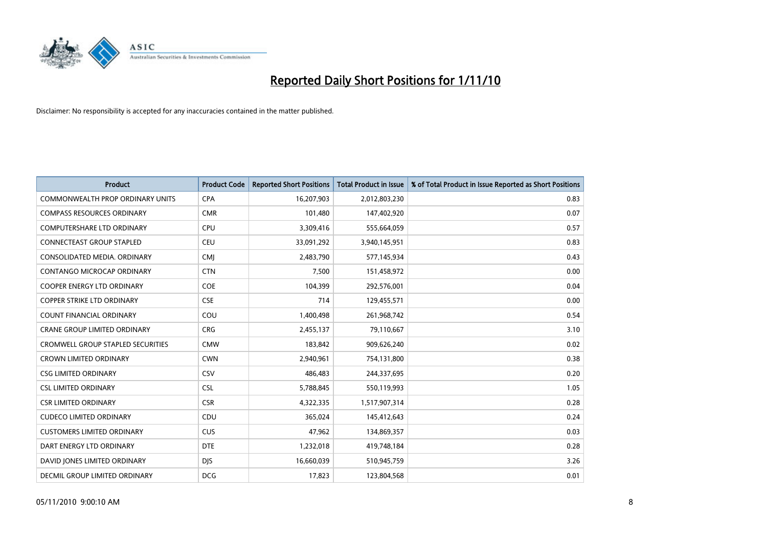

| <b>Product</b>                           | <b>Product Code</b> | <b>Reported Short Positions</b> | <b>Total Product in Issue</b> | % of Total Product in Issue Reported as Short Positions |
|------------------------------------------|---------------------|---------------------------------|-------------------------------|---------------------------------------------------------|
| <b>COMMONWEALTH PROP ORDINARY UNITS</b>  | <b>CPA</b>          | 16,207,903                      | 2,012,803,230                 | 0.83                                                    |
| <b>COMPASS RESOURCES ORDINARY</b>        | <b>CMR</b>          | 101,480                         | 147,402,920                   | 0.07                                                    |
| <b>COMPUTERSHARE LTD ORDINARY</b>        | CPU                 | 3,309,416                       | 555,664,059                   | 0.57                                                    |
| <b>CONNECTEAST GROUP STAPLED</b>         | <b>CEU</b>          | 33,091,292                      | 3,940,145,951                 | 0.83                                                    |
| CONSOLIDATED MEDIA, ORDINARY             | <b>CMI</b>          | 2,483,790                       | 577,145,934                   | 0.43                                                    |
| CONTANGO MICROCAP ORDINARY               | <b>CTN</b>          | 7,500                           | 151,458,972                   | 0.00                                                    |
| <b>COOPER ENERGY LTD ORDINARY</b>        | <b>COE</b>          | 104,399                         | 292,576,001                   | 0.04                                                    |
| <b>COPPER STRIKE LTD ORDINARY</b>        | <b>CSE</b>          | 714                             | 129,455,571                   | 0.00                                                    |
| COUNT FINANCIAL ORDINARY                 | COU                 | 1,400,498                       | 261,968,742                   | 0.54                                                    |
| <b>CRANE GROUP LIMITED ORDINARY</b>      | <b>CRG</b>          | 2,455,137                       | 79,110,667                    | 3.10                                                    |
| <b>CROMWELL GROUP STAPLED SECURITIES</b> | <b>CMW</b>          | 183,842                         | 909,626,240                   | 0.02                                                    |
| <b>CROWN LIMITED ORDINARY</b>            | <b>CWN</b>          | 2,940,961                       | 754,131,800                   | 0.38                                                    |
| <b>CSG LIMITED ORDINARY</b>              | CSV                 | 486,483                         | 244,337,695                   | 0.20                                                    |
| <b>CSL LIMITED ORDINARY</b>              | <b>CSL</b>          | 5,788,845                       | 550,119,993                   | 1.05                                                    |
| <b>CSR LIMITED ORDINARY</b>              | <b>CSR</b>          | 4,322,335                       | 1,517,907,314                 | 0.28                                                    |
| <b>CUDECO LIMITED ORDINARY</b>           | CDU                 | 365.024                         | 145,412,643                   | 0.24                                                    |
| <b>CUSTOMERS LIMITED ORDINARY</b>        | <b>CUS</b>          | 47,962                          | 134,869,357                   | 0.03                                                    |
| DART ENERGY LTD ORDINARY                 | <b>DTE</b>          | 1,232,018                       | 419,748,184                   | 0.28                                                    |
| DAVID JONES LIMITED ORDINARY             | <b>DIS</b>          | 16,660,039                      | 510,945,759                   | 3.26                                                    |
| DECMIL GROUP LIMITED ORDINARY            | <b>DCG</b>          | 17,823                          | 123,804,568                   | 0.01                                                    |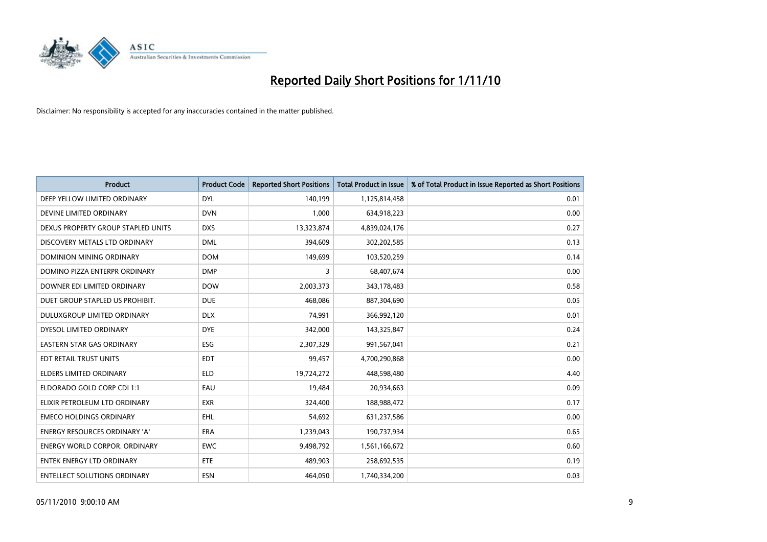

| <b>Product</b>                       | <b>Product Code</b> | <b>Reported Short Positions</b> | <b>Total Product in Issue</b> | % of Total Product in Issue Reported as Short Positions |
|--------------------------------------|---------------------|---------------------------------|-------------------------------|---------------------------------------------------------|
| DEEP YELLOW LIMITED ORDINARY         | <b>DYL</b>          | 140,199                         | 1,125,814,458                 | 0.01                                                    |
| DEVINE LIMITED ORDINARY              | <b>DVN</b>          | 1,000                           | 634,918,223                   | 0.00                                                    |
| DEXUS PROPERTY GROUP STAPLED UNITS   | <b>DXS</b>          | 13,323,874                      | 4,839,024,176                 | 0.27                                                    |
| DISCOVERY METALS LTD ORDINARY        | <b>DML</b>          | 394,609                         | 302,202,585                   | 0.13                                                    |
| <b>DOMINION MINING ORDINARY</b>      | <b>DOM</b>          | 149.699                         | 103,520,259                   | 0.14                                                    |
| DOMINO PIZZA ENTERPR ORDINARY        | <b>DMP</b>          | 3                               | 68,407,674                    | 0.00                                                    |
| DOWNER EDI LIMITED ORDINARY          | <b>DOW</b>          | 2,003,373                       | 343,178,483                   | 0.58                                                    |
| DUET GROUP STAPLED US PROHIBIT.      | <b>DUE</b>          | 468,086                         | 887,304,690                   | 0.05                                                    |
| DULUXGROUP LIMITED ORDINARY          | <b>DLX</b>          | 74,991                          | 366,992,120                   | 0.01                                                    |
| DYESOL LIMITED ORDINARY              | <b>DYE</b>          | 342,000                         | 143,325,847                   | 0.24                                                    |
| EASTERN STAR GAS ORDINARY            | ESG                 | 2,307,329                       | 991,567,041                   | 0.21                                                    |
| EDT RETAIL TRUST UNITS               | <b>EDT</b>          | 99,457                          | 4,700,290,868                 | 0.00                                                    |
| <b>ELDERS LIMITED ORDINARY</b>       | <b>ELD</b>          | 19,724,272                      | 448,598,480                   | 4.40                                                    |
| ELDORADO GOLD CORP CDI 1:1           | EAU                 | 19,484                          | 20,934,663                    | 0.09                                                    |
| ELIXIR PETROLEUM LTD ORDINARY        | <b>EXR</b>          | 324,400                         | 188,988,472                   | 0.17                                                    |
| <b>EMECO HOLDINGS ORDINARY</b>       | <b>EHL</b>          | 54,692                          | 631,237,586                   | 0.00                                                    |
| <b>ENERGY RESOURCES ORDINARY 'A'</b> | <b>ERA</b>          | 1,239,043                       | 190,737,934                   | 0.65                                                    |
| ENERGY WORLD CORPOR. ORDINARY        | <b>EWC</b>          | 9,498,792                       | 1,561,166,672                 | 0.60                                                    |
| <b>ENTEK ENERGY LTD ORDINARY</b>     | ETE                 | 489,903                         | 258,692,535                   | 0.19                                                    |
| <b>ENTELLECT SOLUTIONS ORDINARY</b>  | <b>ESN</b>          | 464.050                         | 1,740,334,200                 | 0.03                                                    |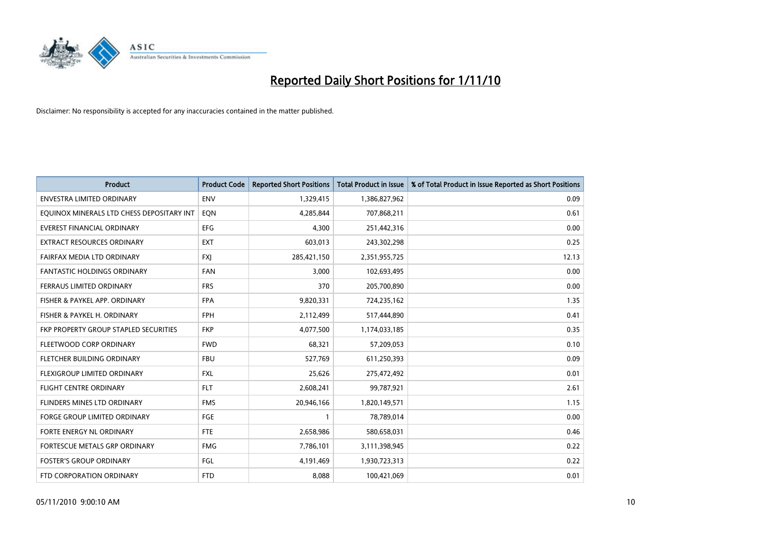

| <b>Product</b>                            | <b>Product Code</b> | <b>Reported Short Positions</b> | Total Product in Issue | % of Total Product in Issue Reported as Short Positions |
|-------------------------------------------|---------------------|---------------------------------|------------------------|---------------------------------------------------------|
| <b>ENVESTRA LIMITED ORDINARY</b>          | <b>ENV</b>          | 1,329,415                       | 1,386,827,962          | 0.09                                                    |
| EQUINOX MINERALS LTD CHESS DEPOSITARY INT | EON                 | 4,285,844                       | 707,868,211            | 0.61                                                    |
| EVEREST FINANCIAL ORDINARY                | <b>EFG</b>          | 4,300                           | 251,442,316            | 0.00                                                    |
| EXTRACT RESOURCES ORDINARY                | <b>EXT</b>          | 603,013                         | 243,302,298            | 0.25                                                    |
| FAIRFAX MEDIA LTD ORDINARY                | <b>FXI</b>          | 285,421,150                     | 2,351,955,725          | 12.13                                                   |
| <b>FANTASTIC HOLDINGS ORDINARY</b>        | <b>FAN</b>          | 3,000                           | 102,693,495            | 0.00                                                    |
| FERRAUS LIMITED ORDINARY                  | <b>FRS</b>          | 370                             | 205,700,890            | 0.00                                                    |
| FISHER & PAYKEL APP. ORDINARY             | <b>FPA</b>          | 9,820,331                       | 724,235,162            | 1.35                                                    |
| FISHER & PAYKEL H. ORDINARY               | <b>FPH</b>          | 2,112,499                       | 517,444,890            | 0.41                                                    |
| FKP PROPERTY GROUP STAPLED SECURITIES     | <b>FKP</b>          | 4,077,500                       | 1,174,033,185          | 0.35                                                    |
| FLEETWOOD CORP ORDINARY                   | <b>FWD</b>          | 68,321                          | 57,209,053             | 0.10                                                    |
| FLETCHER BUILDING ORDINARY                | <b>FBU</b>          | 527,769                         | 611,250,393            | 0.09                                                    |
| FLEXIGROUP LIMITED ORDINARY               | <b>FXL</b>          | 25.626                          | 275,472,492            | 0.01                                                    |
| <b>FLIGHT CENTRE ORDINARY</b>             | <b>FLT</b>          | 2,608,241                       | 99,787,921             | 2.61                                                    |
| FLINDERS MINES LTD ORDINARY               | <b>FMS</b>          | 20,946,166                      | 1,820,149,571          | 1.15                                                    |
| <b>FORGE GROUP LIMITED ORDINARY</b>       | FGE                 |                                 | 78,789,014             | 0.00                                                    |
| FORTE ENERGY NL ORDINARY                  | <b>FTE</b>          | 2,658,986                       | 580,658,031            | 0.46                                                    |
| FORTESCUE METALS GRP ORDINARY             | <b>FMG</b>          | 7,786,101                       | 3,111,398,945          | 0.22                                                    |
| <b>FOSTER'S GROUP ORDINARY</b>            | FGL                 | 4,191,469                       | 1.930,723,313          | 0.22                                                    |
| FTD CORPORATION ORDINARY                  | <b>FTD</b>          | 8.088                           | 100,421,069            | 0.01                                                    |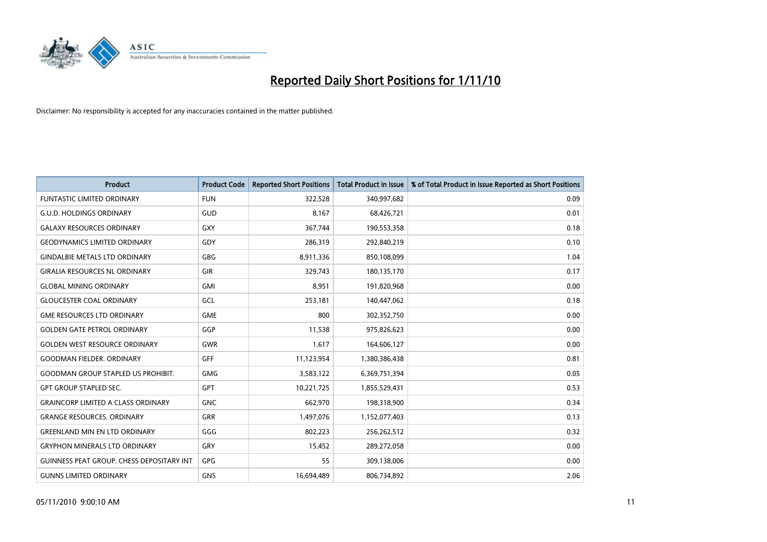

| <b>Product</b>                                   | <b>Product Code</b> | <b>Reported Short Positions</b> | <b>Total Product in Issue</b> | % of Total Product in Issue Reported as Short Positions |
|--------------------------------------------------|---------------------|---------------------------------|-------------------------------|---------------------------------------------------------|
| <b>FUNTASTIC LIMITED ORDINARY</b>                | <b>FUN</b>          | 322,528                         | 340,997,682                   | 0.09                                                    |
| <b>G.U.D. HOLDINGS ORDINARY</b>                  | GUD                 | 8,167                           | 68,426,721                    | 0.01                                                    |
| <b>GALAXY RESOURCES ORDINARY</b>                 | <b>GXY</b>          | 367,744                         | 190,553,358                   | 0.18                                                    |
| <b>GEODYNAMICS LIMITED ORDINARY</b>              | GDY                 | 286,319                         | 292,840,219                   | 0.10                                                    |
| <b>GINDALBIE METALS LTD ORDINARY</b>             | <b>GBG</b>          | 8,911,336                       | 850,108,099                   | 1.04                                                    |
| <b>GIRALIA RESOURCES NL ORDINARY</b>             | GIR                 | 329,743                         | 180,135,170                   | 0.17                                                    |
| <b>GLOBAL MINING ORDINARY</b>                    | <b>GMI</b>          | 8,951                           | 191,820,968                   | 0.00                                                    |
| <b>GLOUCESTER COAL ORDINARY</b>                  | GCL                 | 253,181                         | 140,447,062                   | 0.18                                                    |
| <b>GME RESOURCES LTD ORDINARY</b>                | <b>GME</b>          | 800                             | 302,352,750                   | 0.00                                                    |
| <b>GOLDEN GATE PETROL ORDINARY</b>               | GGP                 | 11,538                          | 975,826,623                   | 0.00                                                    |
| <b>GOLDEN WEST RESOURCE ORDINARY</b>             | <b>GWR</b>          | 1,617                           | 164,606,127                   | 0.00                                                    |
| <b>GOODMAN FIELDER, ORDINARY</b>                 | <b>GFF</b>          | 11,123,954                      | 1,380,386,438                 | 0.81                                                    |
| <b>GOODMAN GROUP STAPLED US PROHIBIT.</b>        | <b>GMG</b>          | 3,583,122                       | 6,369,751,394                 | 0.05                                                    |
| <b>GPT GROUP STAPLED SEC.</b>                    | <b>GPT</b>          | 10,221,725                      | 1,855,529,431                 | 0.53                                                    |
| <b>GRAINCORP LIMITED A CLASS ORDINARY</b>        | <b>GNC</b>          | 662,970                         | 198,318,900                   | 0.34                                                    |
| <b>GRANGE RESOURCES, ORDINARY</b>                | <b>GRR</b>          | 1,497,076                       | 1,152,077,403                 | 0.13                                                    |
| <b>GREENLAND MIN EN LTD ORDINARY</b>             | GGG                 | 802,223                         | 256,262,512                   | 0.32                                                    |
| <b>GRYPHON MINERALS LTD ORDINARY</b>             | GRY                 | 15,452                          | 289,272,058                   | 0.00                                                    |
| <b>GUINNESS PEAT GROUP. CHESS DEPOSITARY INT</b> | GPG                 | 55                              | 309,138,006                   | 0.00                                                    |
| <b>GUNNS LIMITED ORDINARY</b>                    | <b>GNS</b>          | 16,694,489                      | 806,734,892                   | 2.06                                                    |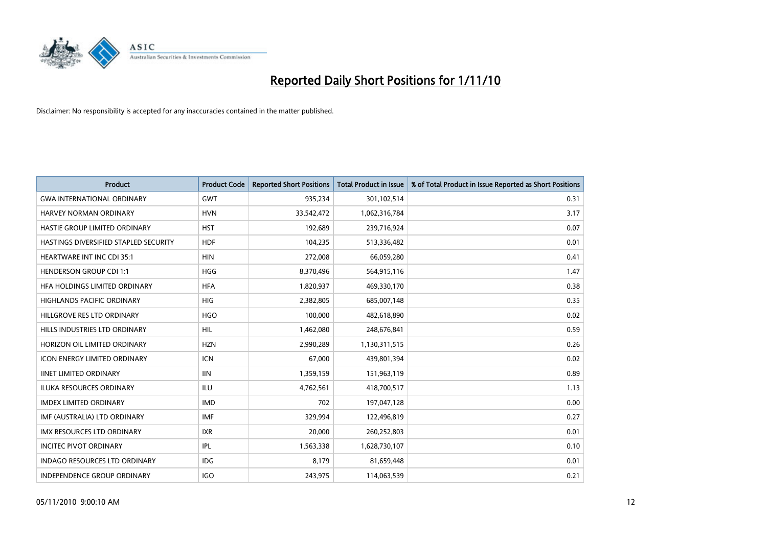

| <b>Product</b>                        | <b>Product Code</b> | <b>Reported Short Positions</b> | <b>Total Product in Issue</b> | % of Total Product in Issue Reported as Short Positions |
|---------------------------------------|---------------------|---------------------------------|-------------------------------|---------------------------------------------------------|
| <b>GWA INTERNATIONAL ORDINARY</b>     | <b>GWT</b>          | 935,234                         | 301,102,514                   | 0.31                                                    |
| HARVEY NORMAN ORDINARY                | <b>HVN</b>          | 33,542,472                      | 1,062,316,784                 | 3.17                                                    |
| HASTIE GROUP LIMITED ORDINARY         | <b>HST</b>          | 192,689                         | 239,716,924                   | 0.07                                                    |
| HASTINGS DIVERSIFIED STAPLED SECURITY | <b>HDF</b>          | 104,235                         | 513,336,482                   | 0.01                                                    |
| <b>HEARTWARE INT INC CDI 35:1</b>     | <b>HIN</b>          | 272,008                         | 66,059,280                    | 0.41                                                    |
| <b>HENDERSON GROUP CDI 1:1</b>        | <b>HGG</b>          | 8,370,496                       | 564,915,116                   | 1.47                                                    |
| HFA HOLDINGS LIMITED ORDINARY         | <b>HFA</b>          | 1,820,937                       | 469,330,170                   | 0.38                                                    |
| <b>HIGHLANDS PACIFIC ORDINARY</b>     | <b>HIG</b>          | 2,382,805                       | 685,007,148                   | 0.35                                                    |
| HILLGROVE RES LTD ORDINARY            | <b>HGO</b>          | 100,000                         | 482,618,890                   | 0.02                                                    |
| HILLS INDUSTRIES LTD ORDINARY         | <b>HIL</b>          | 1,462,080                       | 248,676,841                   | 0.59                                                    |
| HORIZON OIL LIMITED ORDINARY          | <b>HZN</b>          | 2,990,289                       | 1,130,311,515                 | 0.26                                                    |
| <b>ICON ENERGY LIMITED ORDINARY</b>   | <b>ICN</b>          | 67,000                          | 439,801,394                   | 0.02                                                    |
| <b>IINET LIMITED ORDINARY</b>         | <b>IIN</b>          | 1,359,159                       | 151,963,119                   | 0.89                                                    |
| <b>ILUKA RESOURCES ORDINARY</b>       | <b>ILU</b>          | 4,762,561                       | 418,700,517                   | 1.13                                                    |
| <b>IMDEX LIMITED ORDINARY</b>         | <b>IMD</b>          | 702                             | 197,047,128                   | 0.00                                                    |
| IMF (AUSTRALIA) LTD ORDINARY          | <b>IMF</b>          | 329.994                         | 122,496,819                   | 0.27                                                    |
| <b>IMX RESOURCES LTD ORDINARY</b>     | <b>IXR</b>          | 20,000                          | 260,252,803                   | 0.01                                                    |
| <b>INCITEC PIVOT ORDINARY</b>         | IPL                 | 1,563,338                       | 1,628,730,107                 | 0.10                                                    |
| <b>INDAGO RESOURCES LTD ORDINARY</b>  | <b>IDG</b>          | 8,179                           | 81,659,448                    | 0.01                                                    |
| INDEPENDENCE GROUP ORDINARY           | <b>IGO</b>          | 243.975                         | 114,063,539                   | 0.21                                                    |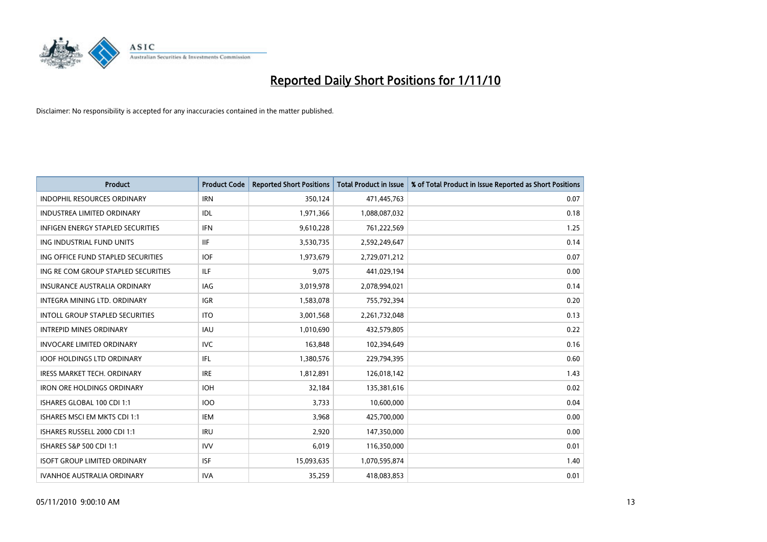

| <b>Product</b>                           | <b>Product Code</b> | <b>Reported Short Positions</b> | <b>Total Product in Issue</b> | % of Total Product in Issue Reported as Short Positions |
|------------------------------------------|---------------------|---------------------------------|-------------------------------|---------------------------------------------------------|
| <b>INDOPHIL RESOURCES ORDINARY</b>       | <b>IRN</b>          | 350,124                         | 471,445,763                   | 0.07                                                    |
| INDUSTREA LIMITED ORDINARY               | IDL                 | 1,971,366                       | 1,088,087,032                 | 0.18                                                    |
| <b>INFIGEN ENERGY STAPLED SECURITIES</b> | <b>IFN</b>          | 9,610,228                       | 761,222,569                   | 1.25                                                    |
| ING INDUSTRIAL FUND UNITS                | <b>IIF</b>          | 3,530,735                       | 2,592,249,647                 | 0.14                                                    |
| ING OFFICE FUND STAPLED SECURITIES       | <b>IOF</b>          | 1,973,679                       | 2,729,071,212                 | 0.07                                                    |
| ING RE COM GROUP STAPLED SECURITIES      | <b>ILF</b>          | 9,075                           | 441,029,194                   | 0.00                                                    |
| <b>INSURANCE AUSTRALIA ORDINARY</b>      | <b>IAG</b>          | 3,019,978                       | 2,078,994,021                 | 0.14                                                    |
| INTEGRA MINING LTD. ORDINARY             | <b>IGR</b>          | 1,583,078                       | 755,792,394                   | 0.20                                                    |
| INTOLL GROUP STAPLED SECURITIES          | <b>ITO</b>          | 3,001,568                       | 2,261,732,048                 | 0.13                                                    |
| <b>INTREPID MINES ORDINARY</b>           | <b>IAU</b>          | 1,010,690                       | 432,579,805                   | 0.22                                                    |
| <b>INVOCARE LIMITED ORDINARY</b>         | <b>IVC</b>          | 163,848                         | 102,394,649                   | 0.16                                                    |
| <b>IOOF HOLDINGS LTD ORDINARY</b>        | <b>IFL</b>          | 1,380,576                       | 229,794,395                   | 0.60                                                    |
| <b>IRESS MARKET TECH. ORDINARY</b>       | <b>IRE</b>          | 1,812,891                       | 126,018,142                   | 1.43                                                    |
| <b>IRON ORE HOLDINGS ORDINARY</b>        | <b>IOH</b>          | 32,184                          | 135,381,616                   | 0.02                                                    |
| ISHARES GLOBAL 100 CDI 1:1               | 100                 | 3,733                           | 10,600,000                    | 0.04                                                    |
| ISHARES MSCI EM MKTS CDI 1:1             | <b>IEM</b>          | 3.968                           | 425,700,000                   | 0.00                                                    |
| ISHARES RUSSELL 2000 CDI 1:1             | <b>IRU</b>          | 2,920                           | 147,350,000                   | 0.00                                                    |
| ISHARES S&P 500 CDI 1:1                  | <b>IVV</b>          | 6,019                           | 116,350,000                   | 0.01                                                    |
| <b>ISOFT GROUP LIMITED ORDINARY</b>      | <b>ISF</b>          | 15,093,635                      | 1,070,595,874                 | 1.40                                                    |
| IVANHOE AUSTRALIA ORDINARY               | <b>IVA</b>          | 35,259                          | 418,083,853                   | 0.01                                                    |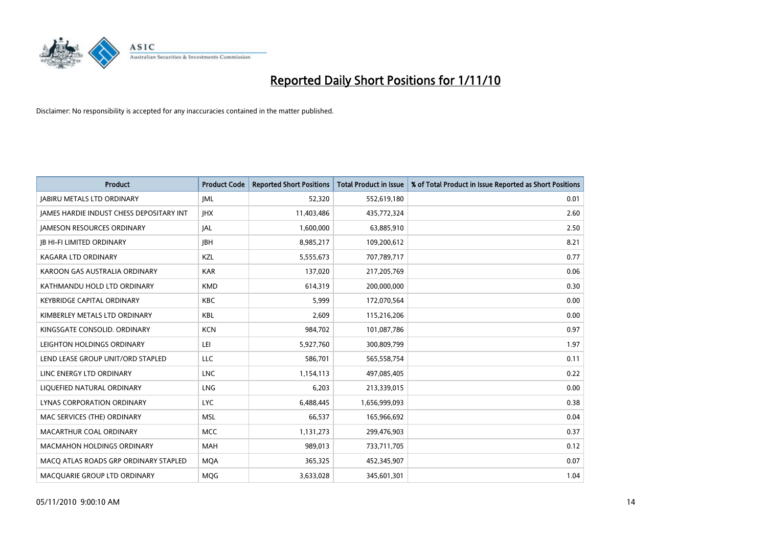

| <b>Product</b>                                  | <b>Product Code</b> | <b>Reported Short Positions</b> | Total Product in Issue | % of Total Product in Issue Reported as Short Positions |
|-------------------------------------------------|---------------------|---------------------------------|------------------------|---------------------------------------------------------|
| <b>JABIRU METALS LTD ORDINARY</b>               | <b>JML</b>          | 52,320                          | 552,619,180            | 0.01                                                    |
| <b>JAMES HARDIE INDUST CHESS DEPOSITARY INT</b> | <b>IHX</b>          | 11,403,486                      | 435,772,324            | 2.60                                                    |
| <b>JAMESON RESOURCES ORDINARY</b>               | JAL                 | 1,600,000                       | 63,885,910             | 2.50                                                    |
| <b>JB HI-FI LIMITED ORDINARY</b>                | <b>IBH</b>          | 8,985,217                       | 109,200,612            | 8.21                                                    |
| <b>KAGARA LTD ORDINARY</b>                      | KZL                 | 5,555,673                       | 707,789,717            | 0.77                                                    |
| KAROON GAS AUSTRALIA ORDINARY                   | <b>KAR</b>          | 137,020                         | 217,205,769            | 0.06                                                    |
| KATHMANDU HOLD LTD ORDINARY                     | <b>KMD</b>          | 614,319                         | 200,000,000            | 0.30                                                    |
| <b>KEYBRIDGE CAPITAL ORDINARY</b>               | <b>KBC</b>          | 5,999                           | 172,070,564            | 0.00                                                    |
| KIMBERLEY METALS LTD ORDINARY                   | <b>KBL</b>          | 2,609                           | 115,216,206            | 0.00                                                    |
| KINGSGATE CONSOLID, ORDINARY                    | <b>KCN</b>          | 984,702                         | 101,087,786            | 0.97                                                    |
| LEIGHTON HOLDINGS ORDINARY                      | LEI                 | 5,927,760                       | 300,809,799            | 1.97                                                    |
| LEND LEASE GROUP UNIT/ORD STAPLED               | LLC                 | 586,701                         | 565,558,754            | 0.11                                                    |
| LINC ENERGY LTD ORDINARY                        | <b>LNC</b>          | 1,154,113                       | 497,085,405            | 0.22                                                    |
| LIQUEFIED NATURAL ORDINARY                      | LNG                 | 6,203                           | 213,339,015            | 0.00                                                    |
| LYNAS CORPORATION ORDINARY                      | <b>LYC</b>          | 6,488,445                       | 1,656,999,093          | 0.38                                                    |
| MAC SERVICES (THE) ORDINARY                     | <b>MSL</b>          | 66,537                          | 165,966,692            | 0.04                                                    |
| MACARTHUR COAL ORDINARY                         | <b>MCC</b>          | 1,131,273                       | 299,476,903            | 0.37                                                    |
| <b>MACMAHON HOLDINGS ORDINARY</b>               | <b>MAH</b>          | 989,013                         | 733,711,705            | 0.12                                                    |
| MACO ATLAS ROADS GRP ORDINARY STAPLED           | <b>MOA</b>          | 365,325                         | 452,345,907            | 0.07                                                    |
| MACQUARIE GROUP LTD ORDINARY                    | <b>MOG</b>          | 3,633,028                       | 345,601,301            | 1.04                                                    |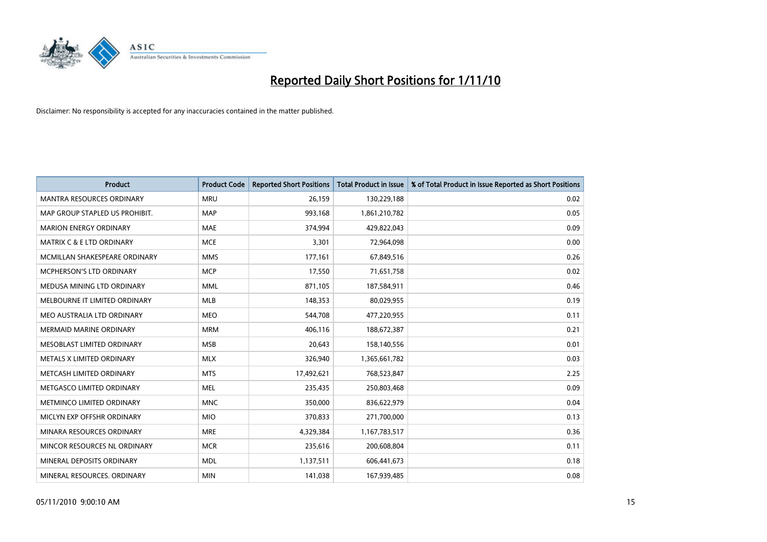

| <b>Product</b>                       | <b>Product Code</b> | <b>Reported Short Positions</b> | <b>Total Product in Issue</b> | % of Total Product in Issue Reported as Short Positions |
|--------------------------------------|---------------------|---------------------------------|-------------------------------|---------------------------------------------------------|
| <b>MANTRA RESOURCES ORDINARY</b>     | <b>MRU</b>          | 26,159                          | 130,229,188                   | 0.02                                                    |
| MAP GROUP STAPLED US PROHIBIT.       | <b>MAP</b>          | 993,168                         | 1,861,210,782                 | 0.05                                                    |
| <b>MARION ENERGY ORDINARY</b>        | <b>MAE</b>          | 374,994                         | 429,822,043                   | 0.09                                                    |
| <b>MATRIX C &amp; E LTD ORDINARY</b> | <b>MCE</b>          | 3,301                           | 72,964,098                    | 0.00                                                    |
| MCMILLAN SHAKESPEARE ORDINARY        | <b>MMS</b>          | 177,161                         | 67,849,516                    | 0.26                                                    |
| <b>MCPHERSON'S LTD ORDINARY</b>      | <b>MCP</b>          | 17,550                          | 71,651,758                    | 0.02                                                    |
| MEDUSA MINING LTD ORDINARY           | <b>MML</b>          | 871,105                         | 187,584,911                   | 0.46                                                    |
| MELBOURNE IT LIMITED ORDINARY        | <b>MLB</b>          | 148,353                         | 80,029,955                    | 0.19                                                    |
| MEO AUSTRALIA LTD ORDINARY           | <b>MEO</b>          | 544,708                         | 477,220,955                   | 0.11                                                    |
| <b>MERMAID MARINE ORDINARY</b>       | <b>MRM</b>          | 406,116                         | 188,672,387                   | 0.21                                                    |
| MESOBLAST LIMITED ORDINARY           | <b>MSB</b>          | 20,643                          | 158,140,556                   | 0.01                                                    |
| METALS X LIMITED ORDINARY            | <b>MLX</b>          | 326,940                         | 1,365,661,782                 | 0.03                                                    |
| METCASH LIMITED ORDINARY             | <b>MTS</b>          | 17,492,621                      | 768,523,847                   | 2.25                                                    |
| METGASCO LIMITED ORDINARY            | <b>MEL</b>          | 235,435                         | 250,803,468                   | 0.09                                                    |
| METMINCO LIMITED ORDINARY            | <b>MNC</b>          | 350,000                         | 836,622,979                   | 0.04                                                    |
| MICLYN EXP OFFSHR ORDINARY           | <b>MIO</b>          | 370,833                         | 271,700,000                   | 0.13                                                    |
| MINARA RESOURCES ORDINARY            | <b>MRE</b>          | 4,329,384                       | 1,167,783,517                 | 0.36                                                    |
| MINCOR RESOURCES NL ORDINARY         | <b>MCR</b>          | 235,616                         | 200,608,804                   | 0.11                                                    |
| MINERAL DEPOSITS ORDINARY            | <b>MDL</b>          | 1,137,511                       | 606,441,673                   | 0.18                                                    |
| MINERAL RESOURCES, ORDINARY          | <b>MIN</b>          | 141,038                         | 167,939,485                   | 0.08                                                    |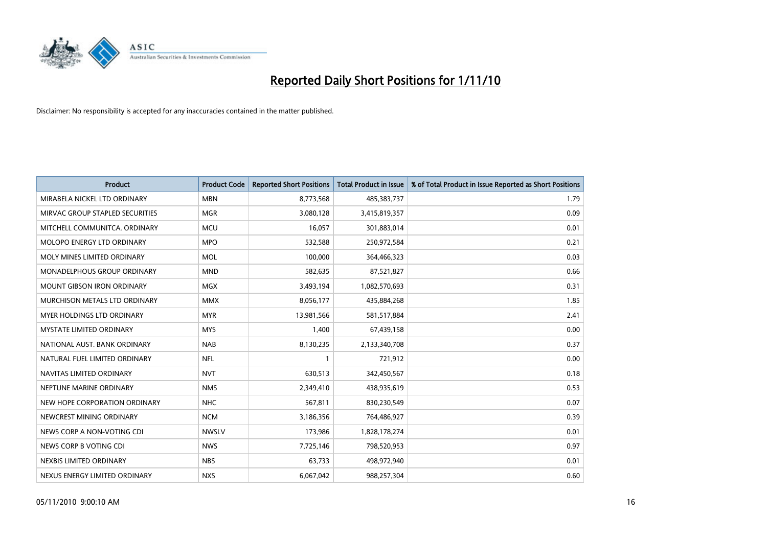

| <b>Product</b>                     | <b>Product Code</b> | <b>Reported Short Positions</b> | <b>Total Product in Issue</b> | % of Total Product in Issue Reported as Short Positions |
|------------------------------------|---------------------|---------------------------------|-------------------------------|---------------------------------------------------------|
| MIRABELA NICKEL LTD ORDINARY       | <b>MBN</b>          | 8,773,568                       | 485,383,737                   | 1.79                                                    |
| MIRVAC GROUP STAPLED SECURITIES    | <b>MGR</b>          | 3,080,128                       | 3,415,819,357                 | 0.09                                                    |
| MITCHELL COMMUNITCA, ORDINARY      | <b>MCU</b>          | 16.057                          | 301,883,014                   | 0.01                                                    |
| <b>MOLOPO ENERGY LTD ORDINARY</b>  | <b>MPO</b>          | 532,588                         | 250,972,584                   | 0.21                                                    |
| MOLY MINES LIMITED ORDINARY        | <b>MOL</b>          | 100,000                         | 364,466,323                   | 0.03                                                    |
| <b>MONADELPHOUS GROUP ORDINARY</b> | <b>MND</b>          | 582,635                         | 87,521,827                    | 0.66                                                    |
| <b>MOUNT GIBSON IRON ORDINARY</b>  | <b>MGX</b>          | 3,493,194                       | 1,082,570,693                 | 0.31                                                    |
| MURCHISON METALS LTD ORDINARY      | <b>MMX</b>          | 8,056,177                       | 435,884,268                   | 1.85                                                    |
| <b>MYER HOLDINGS LTD ORDINARY</b>  | <b>MYR</b>          | 13,981,566                      | 581,517,884                   | 2.41                                                    |
| <b>MYSTATE LIMITED ORDINARY</b>    | <b>MYS</b>          | 1,400                           | 67,439,158                    | 0.00                                                    |
| NATIONAL AUST. BANK ORDINARY       | <b>NAB</b>          | 8,130,235                       | 2,133,340,708                 | 0.37                                                    |
| NATURAL FUEL LIMITED ORDINARY      | <b>NFL</b>          |                                 | 721,912                       | 0.00                                                    |
| NAVITAS LIMITED ORDINARY           | <b>NVT</b>          | 630,513                         | 342,450,567                   | 0.18                                                    |
| NEPTUNE MARINE ORDINARY            | <b>NMS</b>          | 2,349,410                       | 438,935,619                   | 0.53                                                    |
| NEW HOPE CORPORATION ORDINARY      | <b>NHC</b>          | 567,811                         | 830,230,549                   | 0.07                                                    |
| NEWCREST MINING ORDINARY           | <b>NCM</b>          | 3,186,356                       | 764,486,927                   | 0.39                                                    |
| NEWS CORP A NON-VOTING CDI         | <b>NWSLV</b>        | 173,986                         | 1,828,178,274                 | 0.01                                                    |
| NEWS CORP B VOTING CDI             | <b>NWS</b>          | 7,725,146                       | 798,520,953                   | 0.97                                                    |
| NEXBIS LIMITED ORDINARY            | <b>NBS</b>          | 63,733                          | 498,972,940                   | 0.01                                                    |
| NEXUS ENERGY LIMITED ORDINARY      | <b>NXS</b>          | 6,067,042                       | 988,257,304                   | 0.60                                                    |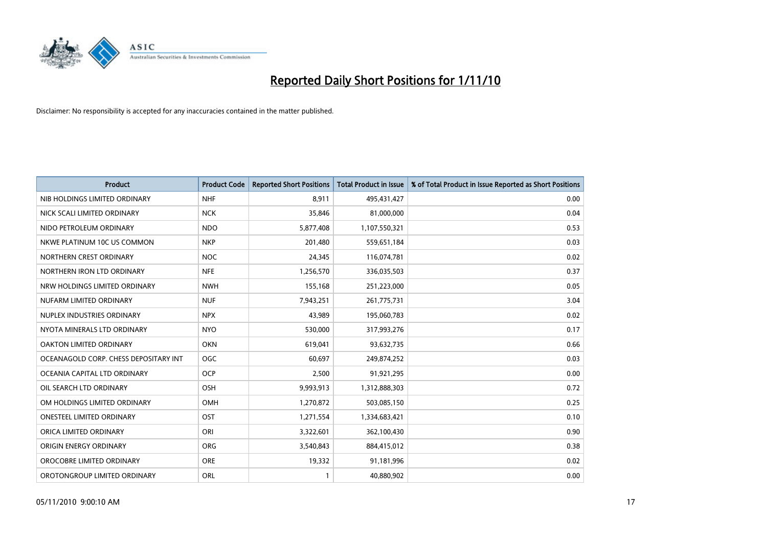

| <b>Product</b>                        | <b>Product Code</b> | <b>Reported Short Positions</b> | <b>Total Product in Issue</b> | % of Total Product in Issue Reported as Short Positions |
|---------------------------------------|---------------------|---------------------------------|-------------------------------|---------------------------------------------------------|
| NIB HOLDINGS LIMITED ORDINARY         | <b>NHF</b>          | 8,911                           | 495,431,427                   | 0.00                                                    |
| NICK SCALI LIMITED ORDINARY           | <b>NCK</b>          | 35,846                          | 81,000,000                    | 0.04                                                    |
| NIDO PETROLEUM ORDINARY               | <b>NDO</b>          | 5,877,408                       | 1,107,550,321                 | 0.53                                                    |
| NKWE PLATINUM 10C US COMMON           | <b>NKP</b>          | 201,480                         | 559,651,184                   | 0.03                                                    |
| NORTHERN CREST ORDINARY               | <b>NOC</b>          | 24,345                          | 116,074,781                   | 0.02                                                    |
| NORTHERN IRON LTD ORDINARY            | <b>NFE</b>          | 1,256,570                       | 336,035,503                   | 0.37                                                    |
| NRW HOLDINGS LIMITED ORDINARY         | <b>NWH</b>          | 155,168                         | 251,223,000                   | 0.05                                                    |
| NUFARM LIMITED ORDINARY               | <b>NUF</b>          | 7,943,251                       | 261,775,731                   | 3.04                                                    |
| NUPLEX INDUSTRIES ORDINARY            | <b>NPX</b>          | 43,989                          | 195,060,783                   | 0.02                                                    |
| NYOTA MINERALS LTD ORDINARY           | <b>NYO</b>          | 530,000                         | 317,993,276                   | 0.17                                                    |
| OAKTON LIMITED ORDINARY               | <b>OKN</b>          | 619,041                         | 93,632,735                    | 0.66                                                    |
| OCEANAGOLD CORP. CHESS DEPOSITARY INT | <b>OGC</b>          | 60,697                          | 249,874,252                   | 0.03                                                    |
| OCEANIA CAPITAL LTD ORDINARY          | <b>OCP</b>          | 2,500                           | 91,921,295                    | 0.00                                                    |
| OIL SEARCH LTD ORDINARY               | OSH                 | 9,993,913                       | 1,312,888,303                 | 0.72                                                    |
| OM HOLDINGS LIMITED ORDINARY          | OMH                 | 1,270,872                       | 503,085,150                   | 0.25                                                    |
| <b>ONESTEEL LIMITED ORDINARY</b>      | OST                 | 1,271,554                       | 1,334,683,421                 | 0.10                                                    |
| ORICA LIMITED ORDINARY                | ORI                 | 3,322,601                       | 362,100,430                   | 0.90                                                    |
| ORIGIN ENERGY ORDINARY                | <b>ORG</b>          | 3,540,843                       | 884,415,012                   | 0.38                                                    |
| OROCOBRE LIMITED ORDINARY             | <b>ORE</b>          | 19,332                          | 91,181,996                    | 0.02                                                    |
| OROTONGROUP LIMITED ORDINARY          | ORL                 |                                 | 40,880,902                    | 0.00                                                    |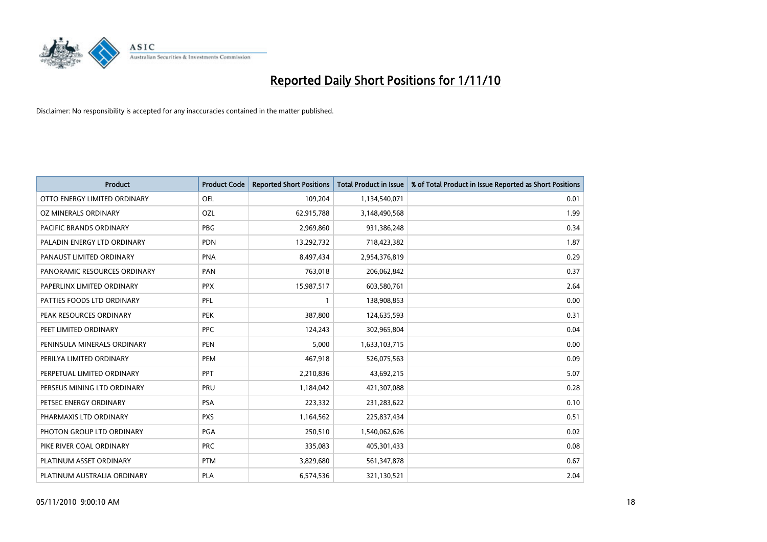

| <b>Product</b>               | <b>Product Code</b> | <b>Reported Short Positions</b> | <b>Total Product in Issue</b> | % of Total Product in Issue Reported as Short Positions |
|------------------------------|---------------------|---------------------------------|-------------------------------|---------------------------------------------------------|
| OTTO ENERGY LIMITED ORDINARY | OEL                 | 109,204                         | 1,134,540,071                 | 0.01                                                    |
| OZ MINERALS ORDINARY         | OZL                 | 62,915,788                      | 3,148,490,568                 | 1.99                                                    |
| PACIFIC BRANDS ORDINARY      | <b>PBG</b>          | 2,969,860                       | 931,386,248                   | 0.34                                                    |
| PALADIN ENERGY LTD ORDINARY  | <b>PDN</b>          | 13,292,732                      | 718,423,382                   | 1.87                                                    |
| PANAUST LIMITED ORDINARY     | <b>PNA</b>          | 8,497,434                       | 2,954,376,819                 | 0.29                                                    |
| PANORAMIC RESOURCES ORDINARY | PAN                 | 763,018                         | 206,062,842                   | 0.37                                                    |
| PAPERLINX LIMITED ORDINARY   | <b>PPX</b>          | 15,987,517                      | 603,580,761                   | 2.64                                                    |
| PATTIES FOODS LTD ORDINARY   | PFL                 |                                 | 138,908,853                   | 0.00                                                    |
| PEAK RESOURCES ORDINARY      | <b>PEK</b>          | 387,800                         | 124,635,593                   | 0.31                                                    |
| PEET LIMITED ORDINARY        | <b>PPC</b>          | 124,243                         | 302,965,804                   | 0.04                                                    |
| PENINSULA MINERALS ORDINARY  | <b>PEN</b>          | 5,000                           | 1,633,103,715                 | 0.00                                                    |
| PERILYA LIMITED ORDINARY     | PEM                 | 467,918                         | 526,075,563                   | 0.09                                                    |
| PERPETUAL LIMITED ORDINARY   | PPT                 | 2,210,836                       | 43,692,215                    | 5.07                                                    |
| PERSEUS MINING LTD ORDINARY  | PRU                 | 1,184,042                       | 421,307,088                   | 0.28                                                    |
| PETSEC ENERGY ORDINARY       | <b>PSA</b>          | 223,332                         | 231,283,622                   | 0.10                                                    |
| PHARMAXIS LTD ORDINARY       | <b>PXS</b>          | 1,164,562                       | 225,837,434                   | 0.51                                                    |
| PHOTON GROUP LTD ORDINARY    | PGA                 | 250,510                         | 1,540,062,626                 | 0.02                                                    |
| PIKE RIVER COAL ORDINARY     | <b>PRC</b>          | 335,083                         | 405,301,433                   | 0.08                                                    |
| PLATINUM ASSET ORDINARY      | <b>PTM</b>          | 3,829,680                       | 561,347,878                   | 0.67                                                    |
| PLATINUM AUSTRALIA ORDINARY  | PLA                 | 6,574,536                       | 321,130,521                   | 2.04                                                    |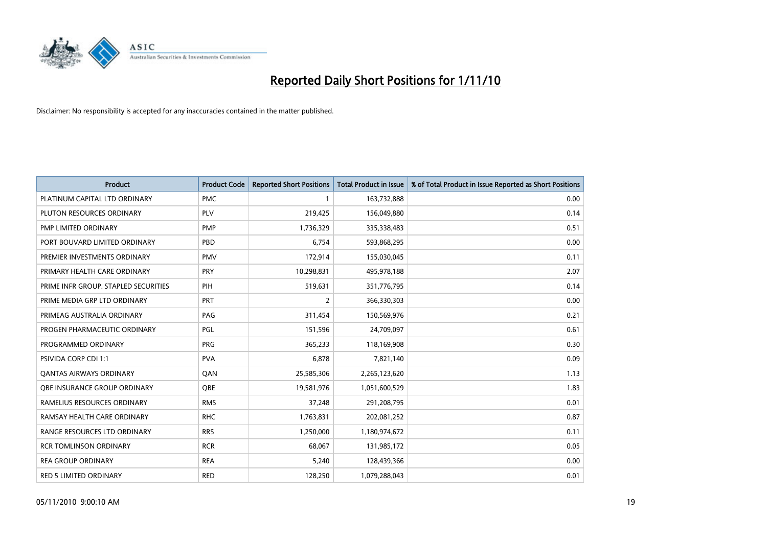

| <b>Product</b>                       | <b>Product Code</b> | <b>Reported Short Positions</b> | <b>Total Product in Issue</b> | % of Total Product in Issue Reported as Short Positions |
|--------------------------------------|---------------------|---------------------------------|-------------------------------|---------------------------------------------------------|
| PLATINUM CAPITAL LTD ORDINARY        | <b>PMC</b>          |                                 | 163,732,888                   | 0.00                                                    |
| PLUTON RESOURCES ORDINARY            | <b>PLV</b>          | 219,425                         | 156,049,880                   | 0.14                                                    |
| PMP LIMITED ORDINARY                 | <b>PMP</b>          | 1,736,329                       | 335,338,483                   | 0.51                                                    |
| PORT BOUVARD LIMITED ORDINARY        | PBD                 | 6,754                           | 593,868,295                   | 0.00                                                    |
| PREMIER INVESTMENTS ORDINARY         | <b>PMV</b>          | 172,914                         | 155,030,045                   | 0.11                                                    |
| PRIMARY HEALTH CARE ORDINARY         | PRY                 | 10,298,831                      | 495,978,188                   | 2.07                                                    |
| PRIME INFR GROUP. STAPLED SECURITIES | PIH                 | 519,631                         | 351,776,795                   | 0.14                                                    |
| PRIME MEDIA GRP LTD ORDINARY         | <b>PRT</b>          | $\overline{2}$                  | 366,330,303                   | 0.00                                                    |
| PRIMEAG AUSTRALIA ORDINARY           | PAG                 | 311,454                         | 150,569,976                   | 0.21                                                    |
| PROGEN PHARMACEUTIC ORDINARY         | <b>PGL</b>          | 151,596                         | 24,709,097                    | 0.61                                                    |
| PROGRAMMED ORDINARY                  | <b>PRG</b>          | 365,233                         | 118,169,908                   | 0.30                                                    |
| PSIVIDA CORP CDI 1:1                 | <b>PVA</b>          | 6,878                           | 7,821,140                     | 0.09                                                    |
| <b>QANTAS AIRWAYS ORDINARY</b>       | QAN                 | 25,585,306                      | 2,265,123,620                 | 1.13                                                    |
| OBE INSURANCE GROUP ORDINARY         | OBE                 | 19,581,976                      | 1,051,600,529                 | 1.83                                                    |
| RAMELIUS RESOURCES ORDINARY          | <b>RMS</b>          | 37,248                          | 291,208,795                   | 0.01                                                    |
| RAMSAY HEALTH CARE ORDINARY          | <b>RHC</b>          | 1,763,831                       | 202,081,252                   | 0.87                                                    |
| RANGE RESOURCES LTD ORDINARY         | <b>RRS</b>          | 1,250,000                       | 1,180,974,672                 | 0.11                                                    |
| <b>RCR TOMLINSON ORDINARY</b>        | <b>RCR</b>          | 68,067                          | 131,985,172                   | 0.05                                                    |
| <b>REA GROUP ORDINARY</b>            | <b>REA</b>          | 5,240                           | 128,439,366                   | 0.00                                                    |
| RED 5 LIMITED ORDINARY               | <b>RED</b>          | 128,250                         | 1,079,288,043                 | 0.01                                                    |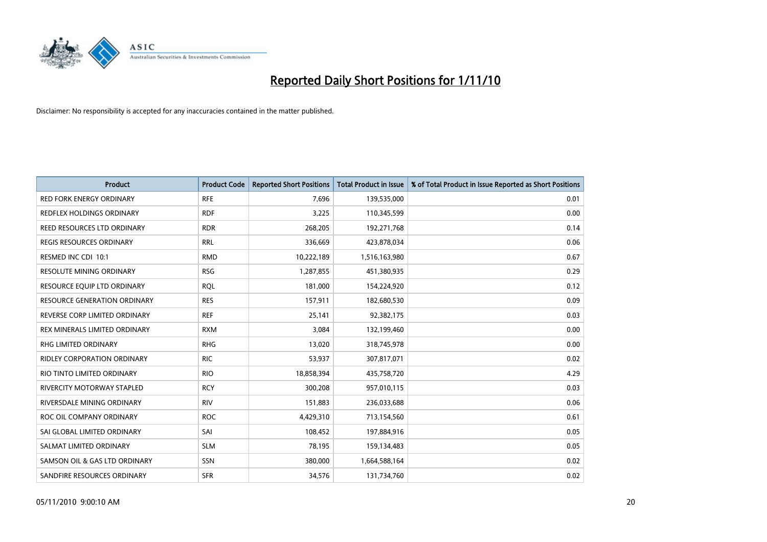

| <b>Product</b>                     | <b>Product Code</b> | <b>Reported Short Positions</b> | Total Product in Issue | % of Total Product in Issue Reported as Short Positions |
|------------------------------------|---------------------|---------------------------------|------------------------|---------------------------------------------------------|
| <b>RED FORK ENERGY ORDINARY</b>    | <b>RFE</b>          | 7,696                           | 139,535,000            | 0.01                                                    |
| REDFLEX HOLDINGS ORDINARY          | <b>RDF</b>          | 3,225                           | 110,345,599            | 0.00                                                    |
| REED RESOURCES LTD ORDINARY        | <b>RDR</b>          | 268,205                         | 192,271,768            | 0.14                                                    |
| REGIS RESOURCES ORDINARY           | <b>RRL</b>          | 336,669                         | 423,878,034            | 0.06                                                    |
| RESMED INC CDI 10:1                | <b>RMD</b>          | 10,222,189                      | 1,516,163,980          | 0.67                                                    |
| <b>RESOLUTE MINING ORDINARY</b>    | <b>RSG</b>          | 1,287,855                       | 451,380,935            | 0.29                                                    |
| RESOURCE EQUIP LTD ORDINARY        | <b>ROL</b>          | 181,000                         | 154,224,920            | 0.12                                                    |
| RESOURCE GENERATION ORDINARY       | <b>RES</b>          | 157,911                         | 182,680,530            | 0.09                                                    |
| REVERSE CORP LIMITED ORDINARY      | <b>REF</b>          | 25,141                          | 92,382,175             | 0.03                                                    |
| REX MINERALS LIMITED ORDINARY      | <b>RXM</b>          | 3,084                           | 132,199,460            | 0.00                                                    |
| RHG LIMITED ORDINARY               | <b>RHG</b>          | 13,020                          | 318,745,978            | 0.00                                                    |
| <b>RIDLEY CORPORATION ORDINARY</b> | <b>RIC</b>          | 53,937                          | 307,817,071            | 0.02                                                    |
| RIO TINTO LIMITED ORDINARY         | <b>RIO</b>          | 18,858,394                      | 435,758,720            | 4.29                                                    |
| <b>RIVERCITY MOTORWAY STAPLED</b>  | <b>RCY</b>          | 300,208                         | 957,010,115            | 0.03                                                    |
| RIVERSDALE MINING ORDINARY         | <b>RIV</b>          | 151,883                         | 236,033,688            | 0.06                                                    |
| ROC OIL COMPANY ORDINARY           | <b>ROC</b>          | 4,429,310                       | 713,154,560            | 0.61                                                    |
| SAI GLOBAL LIMITED ORDINARY        | SAI                 | 108,452                         | 197,884,916            | 0.05                                                    |
| SALMAT LIMITED ORDINARY            | <b>SLM</b>          | 78,195                          | 159,134,483            | 0.05                                                    |
| SAMSON OIL & GAS LTD ORDINARY      | SSN                 | 380,000                         | 1,664,588,164          | 0.02                                                    |
| SANDFIRE RESOURCES ORDINARY        | <b>SFR</b>          | 34,576                          | 131,734,760            | 0.02                                                    |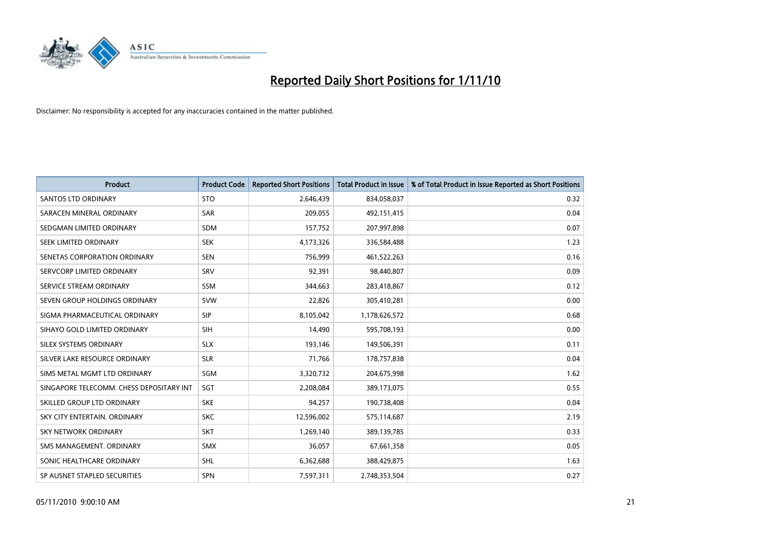

| <b>Product</b>                           | <b>Product Code</b> | <b>Reported Short Positions</b> | <b>Total Product in Issue</b> | % of Total Product in Issue Reported as Short Positions |
|------------------------------------------|---------------------|---------------------------------|-------------------------------|---------------------------------------------------------|
| <b>SANTOS LTD ORDINARY</b>               | <b>STO</b>          | 2,646,439                       | 834,058,037                   | 0.32                                                    |
| SARACEN MINERAL ORDINARY                 | SAR                 | 209,055                         | 492,151,415                   | 0.04                                                    |
| SEDGMAN LIMITED ORDINARY                 | <b>SDM</b>          | 157,752                         | 207,997,898                   | 0.07                                                    |
| SEEK LIMITED ORDINARY                    | <b>SEK</b>          | 4,173,326                       | 336,584,488                   | 1.23                                                    |
| SENETAS CORPORATION ORDINARY             | <b>SEN</b>          | 756,999                         | 461,522,263                   | 0.16                                                    |
| SERVCORP LIMITED ORDINARY                | SRV                 | 92,391                          | 98,440,807                    | 0.09                                                    |
| SERVICE STREAM ORDINARY                  | <b>SSM</b>          | 344,663                         | 283,418,867                   | 0.12                                                    |
| SEVEN GROUP HOLDINGS ORDINARY            | <b>SVW</b>          | 22,826                          | 305,410,281                   | 0.00                                                    |
| SIGMA PHARMACEUTICAL ORDINARY            | <b>SIP</b>          | 8,105,042                       | 1,178,626,572                 | 0.68                                                    |
| SIHAYO GOLD LIMITED ORDINARY             | <b>SIH</b>          | 14,490                          | 595,708,193                   | 0.00                                                    |
| SILEX SYSTEMS ORDINARY                   | <b>SLX</b>          | 193,146                         | 149,506,391                   | 0.11                                                    |
| SILVER LAKE RESOURCE ORDINARY            | <b>SLR</b>          | 71,766                          | 178,757,838                   | 0.04                                                    |
| SIMS METAL MGMT LTD ORDINARY             | SGM                 | 3,320,732                       | 204,675,998                   | 1.62                                                    |
| SINGAPORE TELECOMM. CHESS DEPOSITARY INT | SGT                 | 2,208,084                       | 389,173,075                   | 0.55                                                    |
| SKILLED GROUP LTD ORDINARY               | <b>SKE</b>          | 94,257                          | 190,738,408                   | 0.04                                                    |
| SKY CITY ENTERTAIN. ORDINARY             | <b>SKC</b>          | 12,596,002                      | 575,114,687                   | 2.19                                                    |
| <b>SKY NETWORK ORDINARY</b>              | <b>SKT</b>          | 1,269,140                       | 389,139,785                   | 0.33                                                    |
| SMS MANAGEMENT. ORDINARY                 | <b>SMX</b>          | 36,057                          | 67,661,358                    | 0.05                                                    |
| SONIC HEALTHCARE ORDINARY                | <b>SHL</b>          | 6,362,688                       | 388,429,875                   | 1.63                                                    |
| SP AUSNET STAPLED SECURITIES             | SPN                 | 7,597,311                       | 2,748,353,504                 | 0.27                                                    |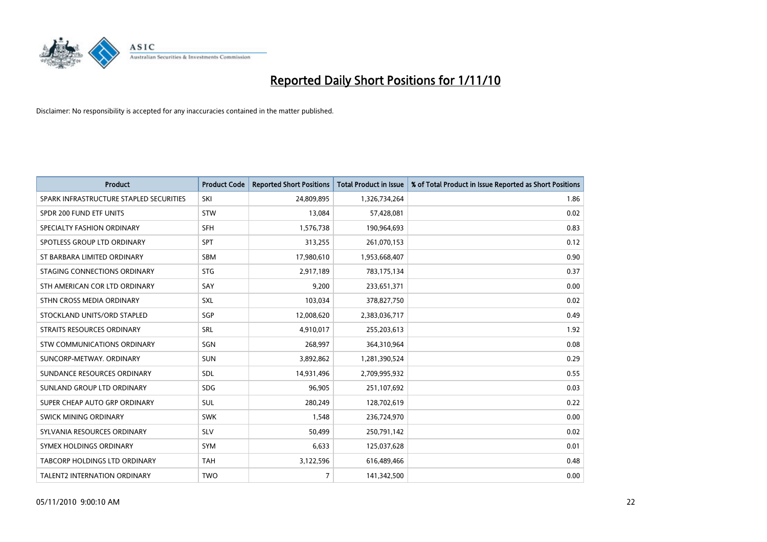

| <b>Product</b>                          | <b>Product Code</b> | <b>Reported Short Positions</b> | <b>Total Product in Issue</b> | % of Total Product in Issue Reported as Short Positions |
|-----------------------------------------|---------------------|---------------------------------|-------------------------------|---------------------------------------------------------|
| SPARK INFRASTRUCTURE STAPLED SECURITIES | SKI                 | 24,809,895                      | 1,326,734,264                 | 1.86                                                    |
| SPDR 200 FUND ETF UNITS                 | <b>STW</b>          | 13,084                          | 57,428,081                    | 0.02                                                    |
| SPECIALTY FASHION ORDINARY              | <b>SFH</b>          | 1,576,738                       | 190,964,693                   | 0.83                                                    |
| SPOTLESS GROUP LTD ORDINARY             | <b>SPT</b>          | 313,255                         | 261,070,153                   | 0.12                                                    |
| ST BARBARA LIMITED ORDINARY             | <b>SBM</b>          | 17,980,610                      | 1,953,668,407                 | 0.90                                                    |
| STAGING CONNECTIONS ORDINARY            | <b>STG</b>          | 2,917,189                       | 783,175,134                   | 0.37                                                    |
| STH AMERICAN COR LTD ORDINARY           | SAY                 | 9,200                           | 233,651,371                   | 0.00                                                    |
| STHN CROSS MEDIA ORDINARY               | SXL                 | 103,034                         | 378,827,750                   | 0.02                                                    |
| STOCKLAND UNITS/ORD STAPLED             | SGP                 | 12,008,620                      | 2,383,036,717                 | 0.49                                                    |
| STRAITS RESOURCES ORDINARY              | SRL                 | 4,910,017                       | 255,203,613                   | 1.92                                                    |
| STW COMMUNICATIONS ORDINARY             | SGN                 | 268,997                         | 364,310,964                   | 0.08                                                    |
| SUNCORP-METWAY, ORDINARY                | <b>SUN</b>          | 3,892,862                       | 1,281,390,524                 | 0.29                                                    |
| SUNDANCE RESOURCES ORDINARY             | <b>SDL</b>          | 14,931,496                      | 2,709,995,932                 | 0.55                                                    |
| SUNLAND GROUP LTD ORDINARY              | <b>SDG</b>          | 96,905                          | 251,107,692                   | 0.03                                                    |
| SUPER CHEAP AUTO GRP ORDINARY           | <b>SUL</b>          | 280,249                         | 128,702,619                   | 0.22                                                    |
| SWICK MINING ORDINARY                   | <b>SWK</b>          | 1,548                           | 236,724,970                   | 0.00                                                    |
| SYLVANIA RESOURCES ORDINARY             | <b>SLV</b>          | 50,499                          | 250,791,142                   | 0.02                                                    |
| SYMEX HOLDINGS ORDINARY                 | <b>SYM</b>          | 6,633                           | 125,037,628                   | 0.01                                                    |
| TABCORP HOLDINGS LTD ORDINARY           | <b>TAH</b>          | 3,122,596                       | 616,489,466                   | 0.48                                                    |
| TALENT2 INTERNATION ORDINARY            | <b>TWO</b>          | 7                               | 141,342,500                   | 0.00                                                    |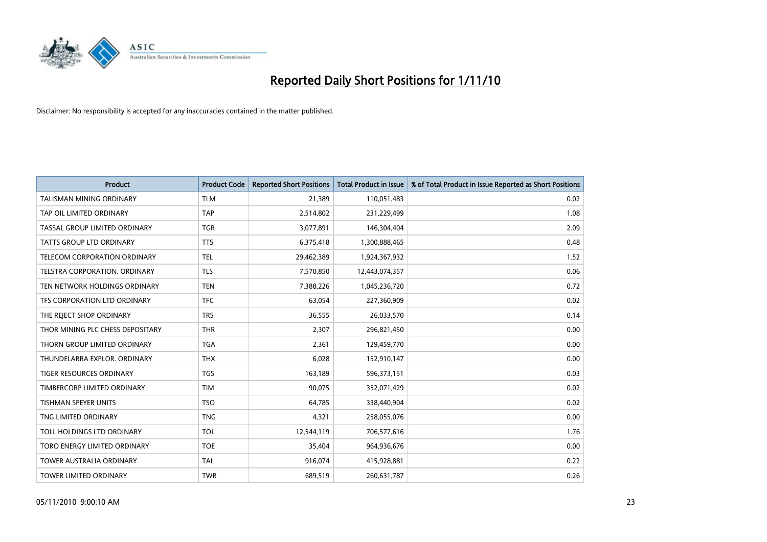

| <b>Product</b>                      | <b>Product Code</b> | <b>Reported Short Positions</b> | <b>Total Product in Issue</b> | % of Total Product in Issue Reported as Short Positions |
|-------------------------------------|---------------------|---------------------------------|-------------------------------|---------------------------------------------------------|
| <b>TALISMAN MINING ORDINARY</b>     | <b>TLM</b>          | 21,389                          | 110,051,483                   | 0.02                                                    |
| TAP OIL LIMITED ORDINARY            | <b>TAP</b>          | 2,514,802                       | 231,229,499                   | 1.08                                                    |
| TASSAL GROUP LIMITED ORDINARY       | <b>TGR</b>          | 3,077,891                       | 146,304,404                   | 2.09                                                    |
| TATTS GROUP LTD ORDINARY            | <b>TTS</b>          | 6,375,418                       | 1,300,888,465                 | 0.48                                                    |
| <b>TELECOM CORPORATION ORDINARY</b> | <b>TEL</b>          | 29,462,389                      | 1,924,367,932                 | 1.52                                                    |
| TELSTRA CORPORATION, ORDINARY       | <b>TLS</b>          | 7,570,850                       | 12,443,074,357                | 0.06                                                    |
| TEN NETWORK HOLDINGS ORDINARY       | <b>TEN</b>          | 7,388,226                       | 1,045,236,720                 | 0.72                                                    |
| TFS CORPORATION LTD ORDINARY        | <b>TFC</b>          | 63,054                          | 227,360,909                   | 0.02                                                    |
| THE REJECT SHOP ORDINARY            | <b>TRS</b>          | 36,555                          | 26,033,570                    | 0.14                                                    |
| THOR MINING PLC CHESS DEPOSITARY    | <b>THR</b>          | 2,307                           | 296,821,450                   | 0.00                                                    |
| THORN GROUP LIMITED ORDINARY        | <b>TGA</b>          | 2,361                           | 129,459,770                   | 0.00                                                    |
| THUNDELARRA EXPLOR, ORDINARY        | <b>THX</b>          | 6,028                           | 152,910,147                   | 0.00                                                    |
| <b>TIGER RESOURCES ORDINARY</b>     | <b>TGS</b>          | 163,189                         | 596,373,151                   | 0.03                                                    |
| TIMBERCORP LIMITED ORDINARY         | <b>TIM</b>          | 90.075                          | 352,071,429                   | 0.02                                                    |
| TISHMAN SPEYER UNITS                | <b>TSO</b>          | 64,785                          | 338,440,904                   | 0.02                                                    |
| TNG LIMITED ORDINARY                | <b>TNG</b>          | 4,321                           | 258,055,076                   | 0.00                                                    |
| TOLL HOLDINGS LTD ORDINARY          | <b>TOL</b>          | 12,544,119                      | 706,577,616                   | 1.76                                                    |
| TORO ENERGY LIMITED ORDINARY        | <b>TOE</b>          | 35,404                          | 964,936,676                   | 0.00                                                    |
| <b>TOWER AUSTRALIA ORDINARY</b>     | <b>TAL</b>          | 916,074                         | 415,928,881                   | 0.22                                                    |
| <b>TOWER LIMITED ORDINARY</b>       | <b>TWR</b>          | 689,519                         | 260,631,787                   | 0.26                                                    |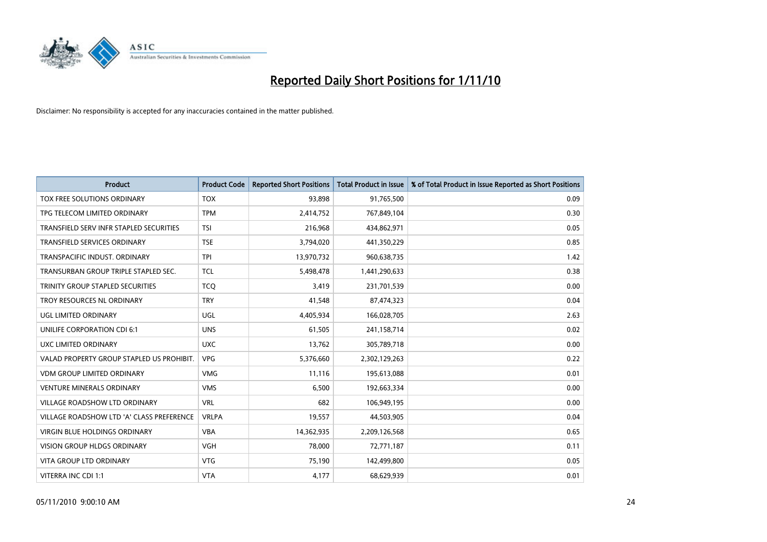

| <b>Product</b>                            | <b>Product Code</b> | <b>Reported Short Positions</b> | <b>Total Product in Issue</b> | % of Total Product in Issue Reported as Short Positions |
|-------------------------------------------|---------------------|---------------------------------|-------------------------------|---------------------------------------------------------|
| <b>TOX FREE SOLUTIONS ORDINARY</b>        | <b>TOX</b>          | 93.898                          | 91,765,500                    | 0.09                                                    |
| TPG TELECOM LIMITED ORDINARY              | <b>TPM</b>          | 2,414,752                       | 767,849,104                   | 0.30                                                    |
| TRANSFIELD SERV INFR STAPLED SECURITIES   | <b>TSI</b>          | 216,968                         | 434,862,971                   | 0.05                                                    |
| TRANSFIELD SERVICES ORDINARY              | <b>TSE</b>          | 3,794,020                       | 441,350,229                   | 0.85                                                    |
| TRANSPACIFIC INDUST, ORDINARY             | <b>TPI</b>          | 13,970,732                      | 960,638,735                   | 1.42                                                    |
| TRANSURBAN GROUP TRIPLE STAPLED SEC.      | <b>TCL</b>          | 5,498,478                       | 1,441,290,633                 | 0.38                                                    |
| TRINITY GROUP STAPLED SECURITIES          | <b>TCO</b>          | 3,419                           | 231,701,539                   | 0.00                                                    |
| TROY RESOURCES NL ORDINARY                | <b>TRY</b>          | 41.548                          | 87,474,323                    | 0.04                                                    |
| UGL LIMITED ORDINARY                      | UGL                 | 4,405,934                       | 166,028,705                   | 2.63                                                    |
| UNILIFE CORPORATION CDI 6:1               | <b>UNS</b>          | 61,505                          | 241,158,714                   | 0.02                                                    |
| UXC LIMITED ORDINARY                      | <b>UXC</b>          | 13,762                          | 305,789,718                   | 0.00                                                    |
| VALAD PROPERTY GROUP STAPLED US PROHIBIT. | <b>VPG</b>          | 5,376,660                       | 2,302,129,263                 | 0.22                                                    |
| <b>VDM GROUP LIMITED ORDINARY</b>         | <b>VMG</b>          | 11,116                          | 195,613,088                   | 0.01                                                    |
| <b>VENTURE MINERALS ORDINARY</b>          | <b>VMS</b>          | 6,500                           | 192,663,334                   | 0.00                                                    |
| <b>VILLAGE ROADSHOW LTD ORDINARY</b>      | <b>VRL</b>          | 682                             | 106,949,195                   | 0.00                                                    |
| VILLAGE ROADSHOW LTD 'A' CLASS PREFERENCE | <b>VRLPA</b>        | 19,557                          | 44,503,905                    | 0.04                                                    |
| VIRGIN BLUE HOLDINGS ORDINARY             | <b>VBA</b>          | 14,362,935                      | 2,209,126,568                 | 0.65                                                    |
| VISION GROUP HLDGS ORDINARY               | <b>VGH</b>          | 78,000                          | 72,771,187                    | 0.11                                                    |
| <b>VITA GROUP LTD ORDINARY</b>            | <b>VTG</b>          | 75,190                          | 142,499,800                   | 0.05                                                    |
| VITERRA INC CDI 1:1                       | <b>VTA</b>          | 4,177                           | 68,629,939                    | 0.01                                                    |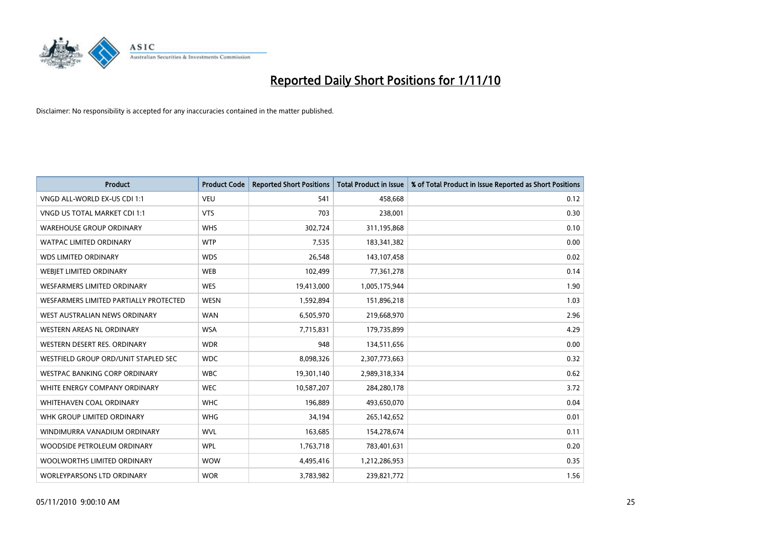

| <b>Product</b>                         | <b>Product Code</b> | <b>Reported Short Positions</b> | <b>Total Product in Issue</b> | % of Total Product in Issue Reported as Short Positions |
|----------------------------------------|---------------------|---------------------------------|-------------------------------|---------------------------------------------------------|
| VNGD ALL-WORLD EX-US CDI 1:1           | <b>VEU</b>          | 541                             | 458.668                       | 0.12                                                    |
| VNGD US TOTAL MARKET CDI 1:1           | <b>VTS</b>          | 703                             | 238,001                       | 0.30                                                    |
| <b>WAREHOUSE GROUP ORDINARY</b>        | <b>WHS</b>          | 302,724                         | 311,195,868                   | 0.10                                                    |
| WATPAC LIMITED ORDINARY                | <b>WTP</b>          | 7,535                           | 183,341,382                   | 0.00                                                    |
| <b>WDS LIMITED ORDINARY</b>            | <b>WDS</b>          | 26,548                          | 143,107,458                   | 0.02                                                    |
| WEBIET LIMITED ORDINARY                | <b>WEB</b>          | 102,499                         | 77,361,278                    | 0.14                                                    |
| <b>WESFARMERS LIMITED ORDINARY</b>     | <b>WES</b>          | 19,413,000                      | 1,005,175,944                 | 1.90                                                    |
| WESFARMERS LIMITED PARTIALLY PROTECTED | <b>WESN</b>         | 1,592,894                       | 151,896,218                   | 1.03                                                    |
| WEST AUSTRALIAN NEWS ORDINARY          | <b>WAN</b>          | 6,505,970                       | 219,668,970                   | 2.96                                                    |
| WESTERN AREAS NL ORDINARY              | <b>WSA</b>          | 7,715,831                       | 179,735,899                   | 4.29                                                    |
| WESTERN DESERT RES. ORDINARY           | <b>WDR</b>          | 948                             | 134,511,656                   | 0.00                                                    |
| WESTFIELD GROUP ORD/UNIT STAPLED SEC   | <b>WDC</b>          | 8,098,326                       | 2,307,773,663                 | 0.32                                                    |
| WESTPAC BANKING CORP ORDINARY          | <b>WBC</b>          | 19,301,140                      | 2,989,318,334                 | 0.62                                                    |
| WHITE ENERGY COMPANY ORDINARY          | <b>WEC</b>          | 10,587,207                      | 284,280,178                   | 3.72                                                    |
| WHITEHAVEN COAL ORDINARY               | <b>WHC</b>          | 196.889                         | 493,650,070                   | 0.04                                                    |
| WHK GROUP LIMITED ORDINARY             | <b>WHG</b>          | 34,194                          | 265,142,652                   | 0.01                                                    |
| WINDIMURRA VANADIUM ORDINARY           | <b>WVL</b>          | 163,685                         | 154,278,674                   | 0.11                                                    |
| WOODSIDE PETROLEUM ORDINARY            | <b>WPL</b>          | 1,763,718                       | 783,401,631                   | 0.20                                                    |
| WOOLWORTHS LIMITED ORDINARY            | <b>WOW</b>          | 4,495,416                       | 1,212,286,953                 | 0.35                                                    |
| WORLEYPARSONS LTD ORDINARY             | <b>WOR</b>          | 3,783,982                       | 239,821,772                   | 1.56                                                    |